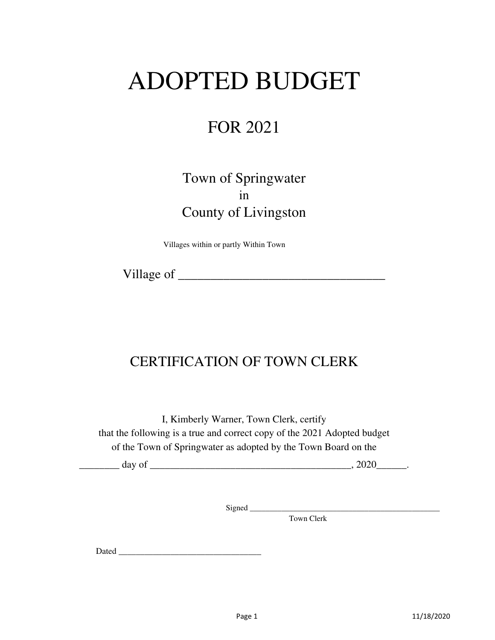# ADOPTED BUDGET

# FOR 2021

# Town of Springwater in County of Livingston

Villages within or partly Within Town

Village of \_\_\_\_\_\_\_\_\_\_\_\_\_\_\_\_\_\_\_\_\_\_\_\_\_\_\_\_\_\_\_\_

# CERTIFICATION OF TOWN CLERK

I, Kimberly Warner, Town Clerk, certify that the following is a true and correct copy of the 2021 Adopted budget of the Town of Springwater as adopted by the Town Board on the

|    | . . |  |
|----|-----|--|
| __ |     |  |

Signed \_\_\_\_\_\_\_\_\_\_\_\_\_\_\_\_\_\_\_\_\_\_\_\_\_\_\_\_\_\_\_\_\_\_\_\_\_\_\_\_\_\_\_\_\_\_\_\_

Town Clerk

Dated \_\_\_\_\_\_\_\_\_\_\_\_\_\_\_\_\_\_\_\_\_\_\_\_\_\_\_\_\_\_\_\_\_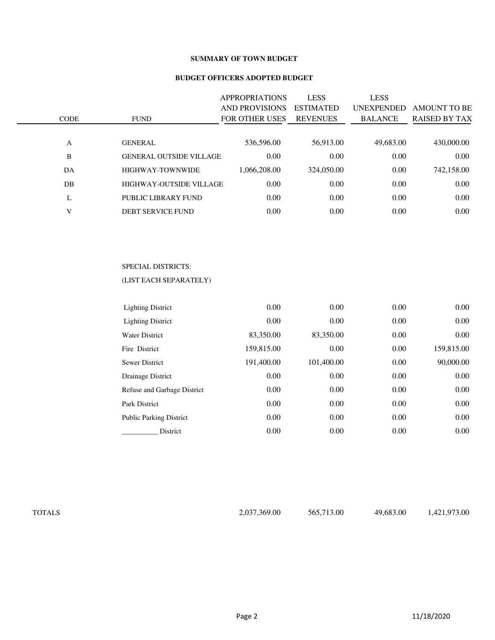#### **SUMMARY OF TOWN BUDGET**

#### **BUDGET OFFICERS ADOPTED BUDGET**

| <b>CODE</b> | <b>FUND</b>                    | <b>APPROPRIATIONS</b><br><b>AND PROVISIONS</b><br><b>FOR OTHER USES</b> | <b>LESS</b><br><b>ESTIMATED</b><br><b>REVENUES</b> | <b>LESS</b><br><b>UNEXPENDED</b><br><b>BALANCE</b> | <b>AMOUNT TO BE</b><br><b>RAISED BY TAX</b> |
|-------------|--------------------------------|-------------------------------------------------------------------------|----------------------------------------------------|----------------------------------------------------|---------------------------------------------|
| A           | <b>GENERAL</b>                 | 536,596.00                                                              | 56,913.00                                          | 49,683.00                                          | 430,000.00                                  |
| B           | <b>GENERAL OUTSIDE VILLAGE</b> | 0.00                                                                    | 0.00                                               | 0.00                                               | 0.00                                        |
| DA          | <b>HIGHWAY-TOWNWIDE</b>        | 1.066.208.00                                                            | 324,050.00                                         | 0.00                                               | 742,158.00                                  |
| DB          | <b>HIGHWAY-OUTSIDE VILLAGE</b> | 0.00                                                                    | 0.00                                               | 0.00                                               | 0.00                                        |
| L           | PUBLIC LIBRARY FUND            | 0.00                                                                    | 0.00                                               | 0.00                                               | 0.00                                        |
| V           | DEBT SERVICE FUND              | 0.00                                                                    | 0.00                                               | 0.00                                               | 0.00                                        |
|             |                                |                                                                         |                                                    |                                                    |                                             |

#### SPECIAL DISTRICTS:

#### (LIST EACH SEPARATELY)

| <b>Lighting District</b>       | 0.00       | 0.00       | 0.00 | $0.00\,$   |
|--------------------------------|------------|------------|------|------------|
| <b>Lighting District</b>       | 0.00       | 0.00       | 0.00 | 0.00       |
| <b>Water District</b>          | 83,350.00  | 83,350.00  | 0.00 | 0.00       |
| Fire District                  | 159,815.00 | 0.00       | 0.00 | 159,815.00 |
| <b>Sewer District</b>          | 191,400.00 | 101,400.00 | 0.00 | 90,000.00  |
| Drainage District              | 0.00       | 0.00       | 0.00 | 0.00       |
| Refuse and Garbage District    | 0.00       | 0.00       | 0.00 | 0.00       |
| Park District                  | 0.00       | 0.00       | 0.00 | 0.00       |
| <b>Public Parking District</b> | 0.00       | 0.00       | 0.00 | 0.00       |
| District                       | 0.00       | 0.00       | 0.00 | 0.00       |

| г<br>∽. |
|---------|
|---------|

TOTALS 2,037,369.00 565,713.00 49,683.00 1,421,973.00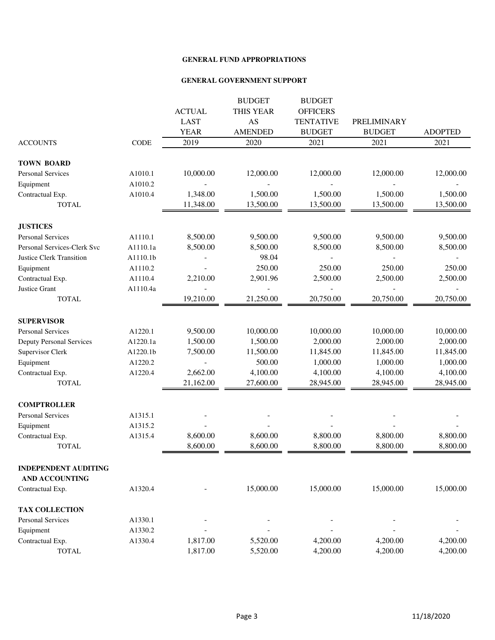|                                 |          |               | <b>BUDGET</b>  | <b>BUDGET</b>    |               |                |
|---------------------------------|----------|---------------|----------------|------------------|---------------|----------------|
|                                 |          | <b>ACTUAL</b> | THIS YEAR      | <b>OFFICERS</b>  |               |                |
|                                 |          | <b>LAST</b>   | AS             | <b>TENTATIVE</b> | PRELIMINARY   |                |
|                                 |          | <b>YEAR</b>   | <b>AMENDED</b> | <b>BUDGET</b>    | <b>BUDGET</b> | <b>ADOPTED</b> |
| <b>ACCOUNTS</b>                 | CODE     | 2019          | 2020           | 2021             | 2021          | 2021           |
| <b>TOWN BOARD</b>               |          |               |                |                  |               |                |
| <b>Personal Services</b>        | A1010.1  | 10,000.00     | 12,000.00      | 12,000.00        | 12,000.00     | 12,000.00      |
| Equipment                       | A1010.2  |               |                |                  |               |                |
| Contractual Exp.                | A1010.4  | 1,348.00      | 1,500.00       | 1,500.00         | 1,500.00      | 1,500.00       |
| <b>TOTAL</b>                    |          | 11,348.00     | 13,500.00      | 13,500.00        | 13,500.00     | 13,500.00      |
| <b>JUSTICES</b>                 |          |               |                |                  |               |                |
| <b>Personal Services</b>        | A1110.1  | 8,500.00      | 9,500.00       | 9,500.00         | 9,500.00      | 9,500.00       |
| Personal Services-Clerk Svc     | A1110.1a | 8,500.00      | 8,500.00       | 8,500.00         | 8,500.00      | 8,500.00       |
| <b>Justice Clerk Transition</b> | A1110.1b |               | 98.04          |                  |               |                |
| Equipment                       | A1110.2  |               | 250.00         | 250.00           | 250.00        | 250.00         |
| Contractual Exp.                | A1110.4  | 2,210.00      | 2,901.96       | 2,500.00         | 2,500.00      | 2,500.00       |
| Justice Grant                   | A1110.4a |               |                |                  |               |                |
| <b>TOTAL</b>                    |          | 19,210.00     | 21,250.00      | 20,750.00        | 20,750.00     | 20,750.00      |
| <b>SUPERVISOR</b>               |          |               |                |                  |               |                |
| Personal Services               | A1220.1  | 9,500.00      | 10,000.00      | 10,000.00        | 10,000.00     | 10,000.00      |
| <b>Deputy Personal Services</b> | A1220.1a | 1,500.00      | 1,500.00       | 2,000.00         | 2,000.00      | 2,000.00       |
| Supervisor Clerk                | A1220.1b | 7,500.00      | 11,500.00      | 11,845.00        | 11,845.00     | 11,845.00      |
| Equipment                       | A1220.2  |               | 500.00         | 1,000.00         | 1,000.00      | 1,000.00       |
| Contractual Exp.                | A1220.4  | 2,662.00      | 4,100.00       | 4,100.00         | 4,100.00      | 4,100.00       |
| <b>TOTAL</b>                    |          | 21,162.00     | 27,600.00      | 28,945.00        | 28,945.00     | 28,945.00      |
| <b>COMPTROLLER</b>              |          |               |                |                  |               |                |
| <b>Personal Services</b>        | A1315.1  |               |                |                  |               |                |
| Equipment                       | A1315.2  |               |                |                  |               |                |
| Contractual Exp.                | A1315.4  | 8,600.00      | 8,600.00       | 8,800.00         | 8,800.00      | 8,800.00       |
| <b>TOTAL</b>                    |          | 8,600.00      | 8,600.00       | 8,800.00         | 8,800.00      | 8,800.00       |
| <b>INDEPENDENT AUDITING</b>     |          |               |                |                  |               |                |
| <b>AND ACCOUNTING</b>           |          |               |                |                  |               |                |
| Contractual Exp.                | A1320.4  |               | 15,000.00      | 15,000.00        | 15,000.00     | 15,000.00      |
| <b>TAX COLLECTION</b>           |          |               |                |                  |               |                |
| <b>Personal Services</b>        | A1330.1  |               |                |                  |               |                |
| Equipment                       | A1330.2  |               |                |                  |               |                |
| Contractual Exp.                | A1330.4  | 1,817.00      | 5,520.00       | 4,200.00         | 4,200.00      | 4,200.00       |
| <b>TOTAL</b>                    |          | 1,817.00      | 5,520.00       | 4,200.00         | 4,200.00      | 4,200.00       |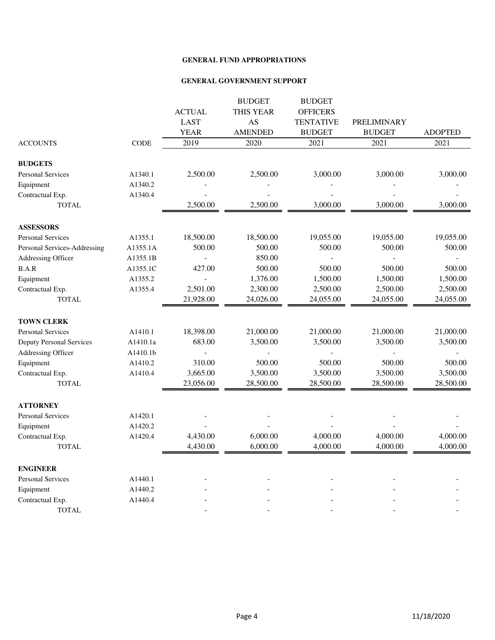|                                 |             |                | <b>BUDGET</b>  | <b>BUDGET</b>    |                    |                |
|---------------------------------|-------------|----------------|----------------|------------------|--------------------|----------------|
|                                 |             | <b>ACTUAL</b>  | THIS YEAR      | <b>OFFICERS</b>  |                    |                |
|                                 |             | <b>LAST</b>    | AS             | <b>TENTATIVE</b> | <b>PRELIMINARY</b> |                |
|                                 |             | <b>YEAR</b>    | <b>AMENDED</b> | <b>BUDGET</b>    | <b>BUDGET</b>      | <b>ADOPTED</b> |
| <b>ACCOUNTS</b>                 | <b>CODE</b> | 2019           | 2020           | 2021             | 2021               | 2021           |
| <b>BUDGETS</b>                  |             |                |                |                  |                    |                |
| <b>Personal Services</b>        | A1340.1     | 2,500.00       | 2,500.00       | 3,000.00         | 3,000.00           | 3,000.00       |
| Equipment                       | A1340.2     |                |                |                  |                    |                |
| Contractual Exp.                | A1340.4     |                |                |                  |                    |                |
| <b>TOTAL</b>                    |             | 2,500.00       | 2,500.00       | 3,000.00         | 3,000.00           | 3,000.00       |
| <b>ASSESSORS</b>                |             |                |                |                  |                    |                |
| <b>Personal Services</b>        | A1355.1     | 18,500.00      | 18,500.00      | 19,055.00        | 19,055.00          | 19,055.00      |
| Personal Services-Addressing    | A1355.1A    | 500.00         | 500.00         | 500.00           | 500.00             | 500.00         |
| Addressing Officer              | A1355.1B    |                | 850.00         |                  |                    |                |
| $\operatorname{B.A.R}$          | A1355.1C    | 427.00         | 500.00         | 500.00           | 500.00             | 500.00         |
| Equipment                       | A1355.2     |                | 1,376.00       | 1,500.00         | 1,500.00           | 1,500.00       |
| Contractual Exp.                | A1355.4     | 2,501.00       | 2,300.00       | 2,500.00         | 2,500.00           | 2,500.00       |
| <b>TOTAL</b>                    |             | 21,928.00      | 24,026.00      | 24,055.00        | 24,055.00          | 24,055.00      |
| <b>TOWN CLERK</b>               |             |                |                |                  |                    |                |
| <b>Personal Services</b>        | A1410.1     | 18,398.00      | 21,000.00      | 21,000.00        | 21,000.00          | 21,000.00      |
| <b>Deputy Personal Services</b> | A1410.1a    | 683.00         | 3,500.00       | 3,500.00         | 3,500.00           | 3,500.00       |
| Addressing Officer              | A1410.1b    | $\overline{a}$ |                |                  |                    |                |
| Equipment                       | A1410.2     | 310.00         | 500.00         | 500.00           | 500.00             | 500.00         |
| Contractual Exp.                | A1410.4     | 3,665.00       | 3,500.00       | 3,500.00         | 3,500.00           | 3,500.00       |
| <b>TOTAL</b>                    |             | 23,056.00      | 28,500.00      | 28,500.00        | 28,500.00          | 28,500.00      |
| <b>ATTORNEY</b>                 |             |                |                |                  |                    |                |
| Personal Services               | A1420.1     |                |                |                  |                    |                |
| Equipment                       | A1420.2     |                |                |                  |                    |                |
| Contractual Exp.                | A1420.4     | 4,430.00       | 6,000.00       | 4,000.00         | 4,000.00           | 4,000.00       |
| <b>TOTAL</b>                    |             | 4,430.00       | 6,000.00       | 4,000.00         | 4,000.00           | 4,000.00       |
| <b>ENGINEER</b>                 |             |                |                |                  |                    |                |
| Personal Services               | A1440.1     |                |                |                  |                    |                |
| Equipment                       | A1440.2     |                |                |                  |                    |                |
| Contractual Exp.                | A1440.4     |                |                |                  |                    |                |
| <b>TOTAL</b>                    |             |                |                |                  |                    |                |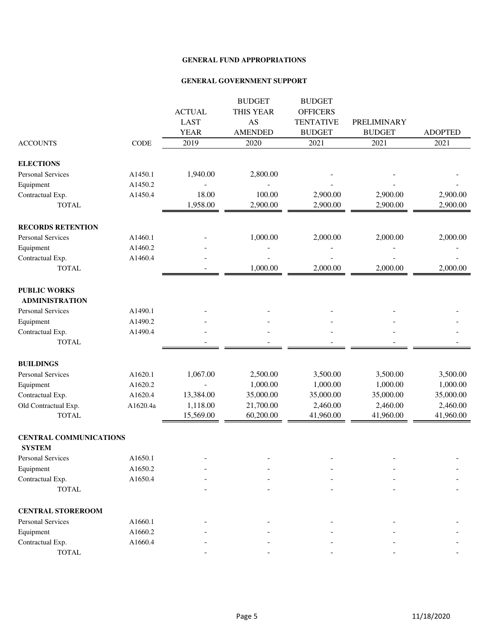|                                                |             |               | <b>BUDGET</b>  | <b>BUDGET</b>    |               |                |
|------------------------------------------------|-------------|---------------|----------------|------------------|---------------|----------------|
|                                                |             | <b>ACTUAL</b> | THIS YEAR      | <b>OFFICERS</b>  |               |                |
|                                                |             | <b>LAST</b>   | AS             | <b>TENTATIVE</b> | PRELIMINARY   |                |
|                                                |             | <b>YEAR</b>   | <b>AMENDED</b> | <b>BUDGET</b>    | <b>BUDGET</b> | <b>ADOPTED</b> |
| <b>ACCOUNTS</b>                                | <b>CODE</b> | 2019          | 2020           | 2021             | 2021          | 2021           |
| <b>ELECTIONS</b>                               |             |               |                |                  |               |                |
| Personal Services                              | A1450.1     | 1,940.00      | 2,800.00       |                  |               |                |
| Equipment                                      | A1450.2     |               |                |                  |               |                |
| Contractual Exp.                               | A1450.4     | 18.00         | 100.00         | 2,900.00         | 2,900.00      | 2,900.00       |
| <b>TOTAL</b>                                   |             | 1,958.00      | 2,900.00       | 2,900.00         | 2,900.00      | 2,900.00       |
| <b>RECORDS RETENTION</b>                       |             |               |                |                  |               |                |
| <b>Personal Services</b>                       | A1460.1     |               | 1,000.00       | 2,000.00         | 2,000.00      | 2,000.00       |
| Equipment                                      | A1460.2     |               |                |                  |               |                |
| Contractual Exp.                               | A1460.4     |               |                |                  |               |                |
| <b>TOTAL</b>                                   |             |               | 1,000.00       | 2,000.00         | 2,000.00      | 2,000.00       |
| <b>PUBLIC WORKS</b>                            |             |               |                |                  |               |                |
| <b>ADMINISTRATION</b>                          |             |               |                |                  |               |                |
| <b>Personal Services</b>                       | A1490.1     |               |                |                  |               |                |
| Equipment                                      | A1490.2     |               |                |                  |               |                |
| Contractual Exp.                               | A1490.4     |               |                |                  |               |                |
| <b>TOTAL</b>                                   |             |               |                |                  |               |                |
| <b>BUILDINGS</b>                               |             |               |                |                  |               |                |
| Personal Services                              | A1620.1     | 1,067.00      | 2,500.00       | 3,500.00         | 3,500.00      | 3,500.00       |
| Equipment                                      | A1620.2     |               | 1,000.00       | 1,000.00         | 1,000.00      | 1,000.00       |
| Contractual Exp.                               | A1620.4     | 13,384.00     | 35,000.00      | 35,000.00        | 35,000.00     | 35,000.00      |
| Old Contractual Exp.                           | A1620.4a    | 1,118.00      | 21,700.00      | 2,460.00         | 2,460.00      | 2,460.00       |
| <b>TOTAL</b>                                   |             | 15,569.00     | 60,200.00      | 41,960.00        | 41,960.00     | 41,960.00      |
| <b>CENTRAL COMMUNICATIONS</b><br><b>SYSTEM</b> |             |               |                |                  |               |                |
| Personal Services                              | A1650.1     |               |                |                  |               |                |
| Equipment                                      | A1650.2     |               |                |                  |               |                |
| Contractual Exp.                               | A1650.4     |               |                |                  |               |                |
| <b>TOTAL</b>                                   |             |               |                |                  |               |                |
| <b>CENTRAL STOREROOM</b>                       |             |               |                |                  |               |                |
| Personal Services                              | A1660.1     |               |                |                  |               |                |
| Equipment                                      | A1660.2     |               |                |                  |               |                |
| Contractual Exp.                               | A1660.4     |               |                |                  |               |                |
| $\ensuremath{\mathsf{TOTAL}}$                  |             |               |                |                  |               |                |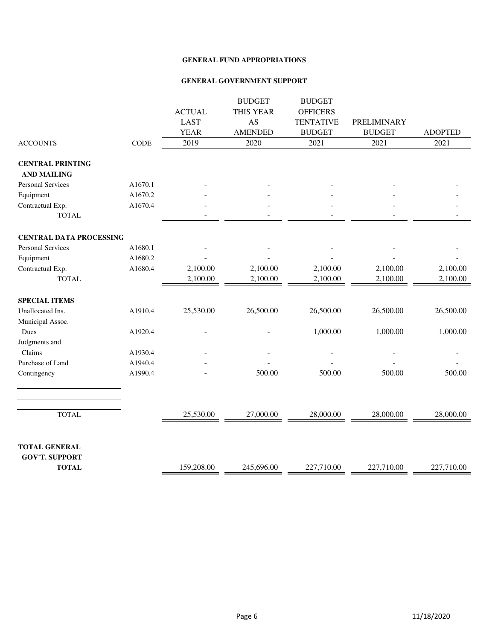|                                               |         |               | <b>BUDGET</b>    | <b>BUDGET</b>    |               |                |
|-----------------------------------------------|---------|---------------|------------------|------------------|---------------|----------------|
|                                               |         | <b>ACTUAL</b> | <b>THIS YEAR</b> | <b>OFFICERS</b>  |               |                |
|                                               |         | <b>LAST</b>   | AS               | <b>TENTATIVE</b> | PRELIMINARY   |                |
|                                               |         | <b>YEAR</b>   | <b>AMENDED</b>   | <b>BUDGET</b>    | <b>BUDGET</b> | <b>ADOPTED</b> |
| <b>ACCOUNTS</b>                               | CODE    | 2019          | 2020             | 2021             | 2021          | 2021           |
| <b>CENTRAL PRINTING</b><br><b>AND MAILING</b> |         |               |                  |                  |               |                |
| <b>Personal Services</b>                      | A1670.1 |               |                  |                  |               |                |
| Equipment                                     | A1670.2 |               |                  |                  |               |                |
| Contractual Exp.                              | A1670.4 |               |                  |                  |               |                |
| <b>TOTAL</b>                                  |         |               |                  |                  |               |                |
| <b>CENTRAL DATA PROCESSING</b>                |         |               |                  |                  |               |                |
| <b>Personal Services</b>                      | A1680.1 |               |                  |                  |               |                |
| Equipment                                     | A1680.2 |               |                  |                  |               |                |
| Contractual Exp.                              | A1680.4 | 2,100.00      | 2,100.00         | 2,100.00         | 2,100.00      | 2,100.00       |
| <b>TOTAL</b>                                  |         | 2,100.00      | 2,100.00         | 2,100.00         | 2,100.00      | 2,100.00       |
| <b>SPECIAL ITEMS</b>                          |         |               |                  |                  |               |                |
| Unallocated Ins.                              | A1910.4 | 25,530.00     | 26,500.00        | 26,500.00        | 26,500.00     | 26,500.00      |
| Municipal Assoc.                              |         |               |                  |                  |               |                |
| Dues                                          | A1920.4 |               |                  | 1,000.00         | 1,000.00      | 1,000.00       |
| Judgments and                                 |         |               |                  |                  |               |                |
| Claims                                        | A1930.4 |               |                  |                  |               |                |
| Purchase of Land                              | A1940.4 |               |                  |                  |               |                |
| Contingency                                   | A1990.4 |               | 500.00           | 500.00           | 500.00        | 500.00         |
|                                               |         |               |                  |                  |               |                |
| <b>TOTAL</b>                                  |         | 25,530.00     | 27,000.00        | 28,000.00        | 28,000.00     | 28,000.00      |
|                                               |         |               |                  |                  |               |                |
| <b>TOTAL GENERAL</b><br><b>GOV'T. SUPPORT</b> |         |               |                  |                  |               |                |
| <b>TOTAL</b>                                  |         | 159,208.00    | 245,696.00       | 227,710.00       | 227,710.00    | 227,710.00     |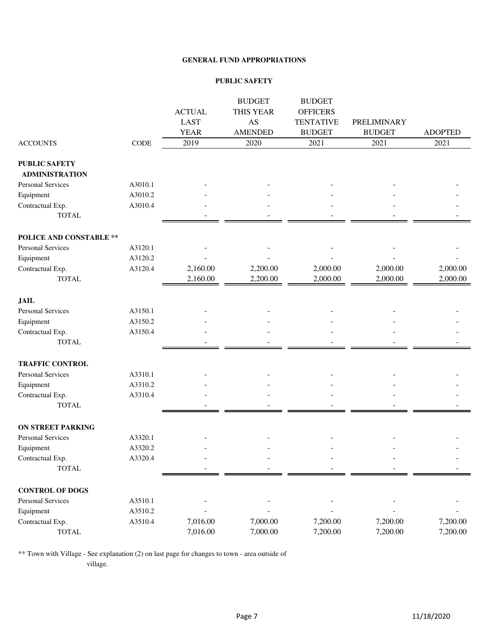#### **PUBLIC SAFETY**

|                                               |         |               | <b>BUDGET</b>  | <b>BUDGET</b>    |               |                |
|-----------------------------------------------|---------|---------------|----------------|------------------|---------------|----------------|
|                                               |         | <b>ACTUAL</b> | THIS YEAR      | <b>OFFICERS</b>  |               |                |
|                                               |         | <b>LAST</b>   | AS             | <b>TENTATIVE</b> | PRELIMINARY   |                |
|                                               |         | <b>YEAR</b>   | <b>AMENDED</b> | <b>BUDGET</b>    | <b>BUDGET</b> | <b>ADOPTED</b> |
| <b>ACCOUNTS</b>                               | CODE    | 2019          | 2020           | 2021             | 2021          | 2021           |
| <b>PUBLIC SAFETY</b><br><b>ADMINISTRATION</b> |         |               |                |                  |               |                |
| Personal Services                             | A3010.1 |               |                |                  |               |                |
| Equipment                                     | A3010.2 |               |                |                  |               |                |
| Contractual Exp.                              | A3010.4 |               |                |                  |               |                |
| <b>TOTAL</b>                                  |         |               |                |                  |               |                |
| POLICE AND CONSTABLE **                       |         |               |                |                  |               |                |
| <b>Personal Services</b>                      | A3120.1 |               |                |                  |               |                |
| Equipment                                     | A3120.2 |               |                |                  |               |                |
| Contractual Exp.                              | A3120.4 | 2,160.00      | 2,200.00       | 2,000.00         | 2,000.00      | 2,000.00       |
| <b>TOTAL</b>                                  |         | 2,160.00      | 2,200.00       | 2,000.00         | 2,000.00      | 2,000.00       |
| <b>JAIL</b>                                   |         |               |                |                  |               |                |
| <b>Personal Services</b>                      | A3150.1 |               |                |                  |               |                |
| Equipment                                     | A3150.2 |               |                |                  |               |                |
| Contractual Exp.                              | A3150.4 |               |                |                  |               |                |
| <b>TOTAL</b>                                  |         |               |                |                  |               |                |
| <b>TRAFFIC CONTROL</b>                        |         |               |                |                  |               |                |
| <b>Personal Services</b>                      | A3310.1 |               |                |                  |               |                |
| Equipment                                     | A3310.2 |               |                |                  |               |                |
| Contractual Exp.                              | A3310.4 |               |                |                  |               |                |
| <b>TOTAL</b>                                  |         |               |                |                  |               |                |
| <b>ON STREET PARKING</b>                      |         |               |                |                  |               |                |
| <b>Personal Services</b>                      | A3320.1 |               |                |                  |               |                |
| Equipment                                     | A3320.2 |               |                |                  |               |                |
| Contractual Exp.                              | A3320.4 |               |                |                  |               |                |
| TOTAL                                         |         |               |                |                  |               |                |
| <b>CONTROL OF DOGS</b>                        |         |               |                |                  |               |                |
| Personal Services                             | A3510.1 |               |                |                  |               |                |
| Equipment                                     | A3510.2 |               |                |                  |               |                |
| Contractual Exp.                              | A3510.4 | 7,016.00      | 7,000.00       | 7,200.00         | 7,200.00      | 7,200.00       |
| <b>TOTAL</b>                                  |         | 7,016.00      | 7,000.00       | 7,200.00         | 7,200.00      | 7,200.00       |

\*\* Town with Village - See explanation (2) on last page for changes to town - area outside of village.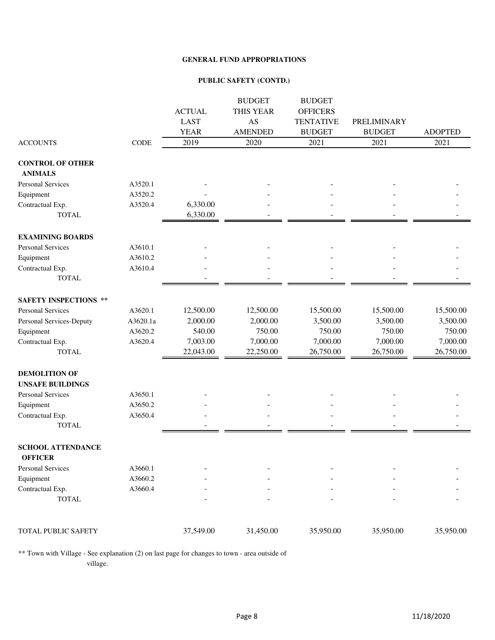#### **PUBLIC SAFETY (CONTD.)**

|                              |          |               | <b>BUDGET</b>  | <b>BUDGET</b>    |               |                |
|------------------------------|----------|---------------|----------------|------------------|---------------|----------------|
|                              |          | <b>ACTUAL</b> | THIS YEAR      | <b>OFFICERS</b>  |               |                |
|                              |          | <b>LAST</b>   | AS             | <b>TENTATIVE</b> | PRELIMINARY   |                |
|                              |          | <b>YEAR</b>   | <b>AMENDED</b> | <b>BUDGET</b>    | <b>BUDGET</b> | <b>ADOPTED</b> |
| <b>ACCOUNTS</b>              | CODE     | 2019          | 2020           | 2021             | 2021          | 2021           |
| <b>CONTROL OF OTHER</b>      |          |               |                |                  |               |                |
| <b>ANIMALS</b>               |          |               |                |                  |               |                |
| <b>Personal Services</b>     | A3520.1  |               |                |                  |               |                |
| Equipment                    | A3520.2  |               |                |                  |               |                |
| Contractual Exp.             | A3520.4  | 6,330.00      |                |                  |               |                |
| <b>TOTAL</b>                 |          | 6,330.00      |                |                  |               |                |
| <b>EXAMINING BOARDS</b>      |          |               |                |                  |               |                |
| Personal Services            | A3610.1  |               |                |                  |               |                |
| Equipment                    | A3610.2  |               |                |                  |               |                |
| Contractual Exp.             | A3610.4  |               |                |                  |               |                |
| <b>TOTAL</b>                 |          |               |                |                  |               |                |
|                              |          |               |                |                  |               |                |
| <b>SAFETY INSPECTIONS **</b> |          |               |                |                  |               |                |
| Personal Services            | A3620.1  | 12,500.00     | 12,500.00      | 15,500.00        | 15,500.00     | 15,500.00      |
| Personal Services-Deputy     | A3620.1a | 2,000.00      | 2,000.00       | 3,500.00         | 3,500.00      | 3,500.00       |
| Equipment                    | A3620.2  | 540.00        | 750.00         | 750.00           | 750.00        | 750.00         |
| Contractual Exp.             | A3620.4  | 7,003.00      | 7,000.00       | 7,000.00         | 7,000.00      | 7,000.00       |
| <b>TOTAL</b>                 |          | 22,043.00     | 22,250.00      | 26,750.00        | 26,750.00     | 26,750.00      |
| <b>DEMOLITION OF</b>         |          |               |                |                  |               |                |
| <b>UNSAFE BUILDINGS</b>      |          |               |                |                  |               |                |
| Personal Services            | A3650.1  |               |                |                  |               |                |
| Equipment                    | A3650.2  |               |                |                  |               |                |
| Contractual Exp.             | A3650.4  |               |                |                  |               |                |
| <b>TOTAL</b>                 |          |               |                |                  |               |                |
| <b>SCHOOL ATTENDANCE</b>     |          |               |                |                  |               |                |
| <b>OFFICER</b>               |          |               |                |                  |               |                |
| Personal Services            | A3660.1  |               |                |                  |               |                |
| Equipment                    | A3660.2  |               |                |                  |               |                |
| Contractual Exp.             | A3660.4  |               |                |                  |               |                |
| <b>TOTAL</b>                 |          |               |                |                  |               |                |
|                              |          |               |                |                  |               |                |
| TOTAL PUBLIC SAFETY          |          | 37,549.00     | 31,450.00      | 35,950.00        | 35,950.00     | 35,950.00      |
|                              |          |               |                |                  |               |                |

\*\* Town with Village - See explanation (2) on last page for changes to town - area outside of village.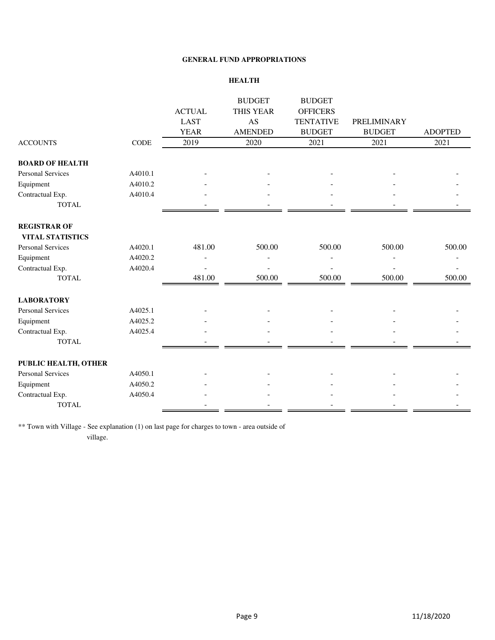#### **HEALTH**

|                          |         |               | <b>BUDGET</b>  | <b>BUDGET</b>    |                    |                |
|--------------------------|---------|---------------|----------------|------------------|--------------------|----------------|
|                          |         | <b>ACTUAL</b> | THIS YEAR      | <b>OFFICERS</b>  |                    |                |
|                          |         | <b>LAST</b>   | AS             | <b>TENTATIVE</b> | <b>PRELIMINARY</b> |                |
|                          |         | <b>YEAR</b>   | <b>AMENDED</b> | <b>BUDGET</b>    | <b>BUDGET</b>      | <b>ADOPTED</b> |
| <b>ACCOUNTS</b>          | CODE    | 2019          | 2020           | 2021             | 2021               | 2021           |
| <b>BOARD OF HEALTH</b>   |         |               |                |                  |                    |                |
| Personal Services        | A4010.1 |               |                |                  |                    |                |
| Equipment                | A4010.2 |               |                |                  |                    |                |
| Contractual Exp.         | A4010.4 |               |                |                  |                    |                |
| <b>TOTAL</b>             |         |               |                |                  |                    |                |
| <b>REGISTRAR OF</b>      |         |               |                |                  |                    |                |
| <b>VITAL STATISTICS</b>  |         |               |                |                  |                    |                |
| <b>Personal Services</b> | A4020.1 | 481.00        | 500.00         | 500.00           | 500.00             | 500.00         |
| Equipment                | A4020.2 |               |                |                  |                    |                |
| Contractual Exp.         | A4020.4 |               |                |                  |                    |                |
| <b>TOTAL</b>             |         | 481.00        | 500.00         | 500.00           | 500.00             | 500.00         |
| <b>LABORATORY</b>        |         |               |                |                  |                    |                |
| <b>Personal Services</b> | A4025.1 |               |                |                  |                    |                |
| Equipment                | A4025.2 |               |                |                  |                    |                |
| Contractual Exp.         | A4025.4 |               |                |                  |                    |                |
| <b>TOTAL</b>             |         |               |                |                  |                    |                |
| PUBLIC HEALTH, OTHER     |         |               |                |                  |                    |                |
| <b>Personal Services</b> | A4050.1 |               |                |                  |                    |                |
| Equipment                | A4050.2 |               |                |                  |                    |                |
| Contractual Exp.         | A4050.4 |               |                |                  |                    |                |
| <b>TOTAL</b>             |         |               |                |                  |                    |                |

\*\* Town with Village - See explanation (1) on last page for charges to town - area outside of village.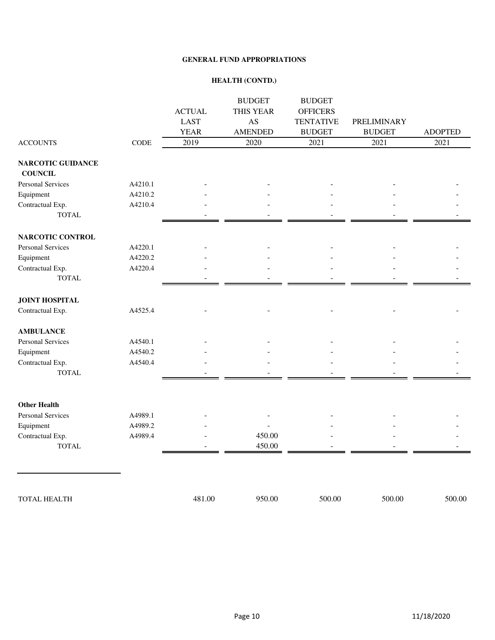#### **HEALTH (CONTD.)**

|                                            |             | <b>ACTUAL</b> | <b>BUDGET</b><br>THIS YEAR | <b>BUDGET</b><br><b>OFFICERS</b> |                    |                |
|--------------------------------------------|-------------|---------------|----------------------------|----------------------------------|--------------------|----------------|
|                                            |             | <b>LAST</b>   | AS                         | <b>TENTATIVE</b>                 | <b>PRELIMINARY</b> |                |
|                                            |             | <b>YEAR</b>   | <b>AMENDED</b>             | <b>BUDGET</b>                    | <b>BUDGET</b>      | <b>ADOPTED</b> |
| <b>ACCOUNTS</b>                            | <b>CODE</b> | 2019          | 2020                       | 2021                             | 2021               | 2021           |
|                                            |             |               |                            |                                  |                    |                |
| <b>NARCOTIC GUIDANCE</b><br><b>COUNCIL</b> |             |               |                            |                                  |                    |                |
| <b>Personal Services</b>                   | A4210.1     |               |                            |                                  |                    |                |
| Equipment                                  | A4210.2     |               |                            |                                  |                    |                |
| Contractual Exp.                           | A4210.4     |               |                            |                                  |                    |                |
| <b>TOTAL</b>                               |             |               |                            |                                  |                    |                |
| NARCOTIC CONTROL                           |             |               |                            |                                  |                    |                |
| <b>Personal Services</b>                   | A4220.1     |               |                            |                                  |                    |                |
| Equipment                                  | A4220.2     |               |                            |                                  |                    |                |
| Contractual Exp.                           | A4220.4     |               |                            |                                  |                    |                |
| <b>TOTAL</b>                               |             |               |                            |                                  |                    |                |
|                                            |             |               |                            |                                  |                    |                |
| <b>JOINT HOSPITAL</b>                      |             |               |                            |                                  |                    |                |
| Contractual Exp.                           | A4525.4     |               |                            |                                  |                    |                |
| <b>AMBULANCE</b>                           |             |               |                            |                                  |                    |                |
| Personal Services                          | A4540.1     |               |                            |                                  |                    |                |
| Equipment                                  | A4540.2     |               |                            |                                  |                    |                |
| Contractual Exp.                           | A4540.4     |               |                            |                                  |                    |                |
| <b>TOTAL</b>                               |             |               |                            |                                  |                    |                |
|                                            |             |               |                            |                                  |                    |                |
| <b>Other Health</b>                        |             |               |                            |                                  |                    |                |
| Personal Services                          | A4989.1     |               |                            |                                  |                    |                |
| Equipment                                  | A4989.2     |               |                            |                                  |                    |                |
| Contractual Exp.                           | A4989.4     |               | 450.00                     |                                  |                    |                |
| <b>TOTAL</b>                               |             |               | 450.00                     |                                  |                    |                |
|                                            |             |               |                            |                                  |                    |                |
|                                            |             |               |                            |                                  |                    |                |
| <b>TOTAL HEALTH</b>                        |             | 481.00        | 950.00                     | 500.00                           | 500.00             | 500.00         |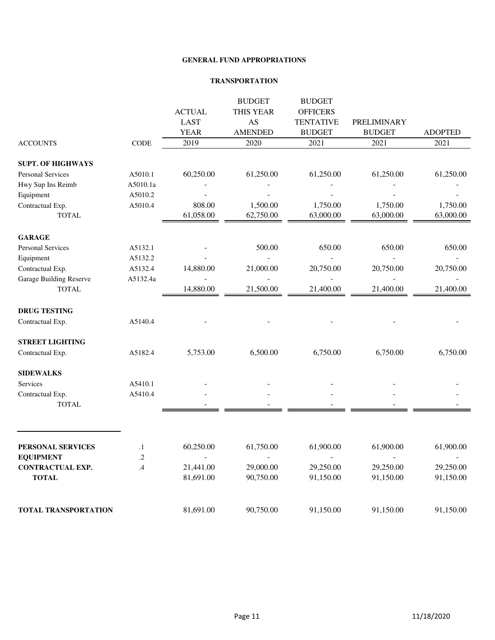#### **TRANSPORTATION**

|                             |               |               | <b>BUDGET</b>  | <b>BUDGET</b>            |                          |                |
|-----------------------------|---------------|---------------|----------------|--------------------------|--------------------------|----------------|
|                             |               | <b>ACTUAL</b> | THIS YEAR      | <b>OFFICERS</b>          |                          |                |
|                             |               | <b>LAST</b>   | AS             | <b>TENTATIVE</b>         | PRELIMINARY              |                |
|                             |               | <b>YEAR</b>   | <b>AMENDED</b> | <b>BUDGET</b>            | <b>BUDGET</b>            | <b>ADOPTED</b> |
| <b>ACCOUNTS</b>             | $\rm{CODE}$   | 2019          | 2020           | 2021                     | 2021                     | 2021           |
| <b>SUPT. OF HIGHWAYS</b>    |               |               |                |                          |                          |                |
| <b>Personal Services</b>    | A5010.1       | 60,250.00     | 61,250.00      | 61,250.00                | 61,250.00                | 61,250.00      |
| Hwy Sup Ins Reimb           | A5010.1a      |               |                |                          |                          |                |
| Equipment                   | A5010.2       |               |                |                          |                          |                |
| Contractual Exp.            | A5010.4       | 808.00        | 1,500.00       | 1,750.00                 | 1,750.00                 | 1,750.00       |
| <b>TOTAL</b>                |               | 61,058.00     | 62,750.00      | 63,000.00                | 63,000.00                | 63,000.00      |
| <b>GARAGE</b>               |               |               |                |                          |                          |                |
| Personal Services           | A5132.1       |               | 500.00         | 650.00                   | 650.00                   | 650.00         |
| Equipment                   | A5132.2       |               | L.             | $\overline{\phantom{a}}$ | $\overline{\phantom{a}}$ |                |
| Contractual Exp.            | A5132.4       | 14,880.00     | 21,000.00      | 20,750.00                | 20,750.00                | 20,750.00      |
| Garage Building Reserve     | A5132.4a      |               |                |                          |                          |                |
| <b>TOTAL</b>                |               | 14,880.00     | 21,500.00      | 21,400.00                | 21,400.00                | 21,400.00      |
| <b>DRUG TESTING</b>         |               |               |                |                          |                          |                |
| Contractual Exp.            | A5140.4       |               |                |                          |                          |                |
| <b>STREET LIGHTING</b>      |               |               |                |                          |                          |                |
| Contractual Exp.            | A5182.4       | 5,753.00      | 6,500.00       | 6,750.00                 | 6,750.00                 | 6,750.00       |
| <b>SIDEWALKS</b>            |               |               |                |                          |                          |                |
| Services                    | A5410.1       |               |                |                          |                          |                |
| Contractual Exp.            | A5410.4       |               |                |                          |                          |                |
| <b>TOTAL</b>                |               |               |                |                          |                          |                |
|                             |               |               |                |                          |                          |                |
| PERSONAL SERVICES           | $\cdot$ 1     | 60,250.00     | 61,750.00      | 61,900.00                | 61,900.00                | 61,900.00      |
| <b>EQUIPMENT</b>            | .2            |               |                |                          |                          |                |
| <b>CONTRACTUAL EXP.</b>     | $\mathcal{A}$ | 21,441.00     | 29,000.00      | 29,250.00                | 29,250.00                | 29,250.00      |
| <b>TOTAL</b>                |               | 81,691.00     | 90,750.00      | 91,150.00                | 91,150.00                | 91,150.00      |
| <b>TOTAL TRANSPORTATION</b> |               | 81,691.00     | 90,750.00      | 91,150.00                | 91,150.00                | 91,150.00      |
|                             |               |               |                |                          |                          |                |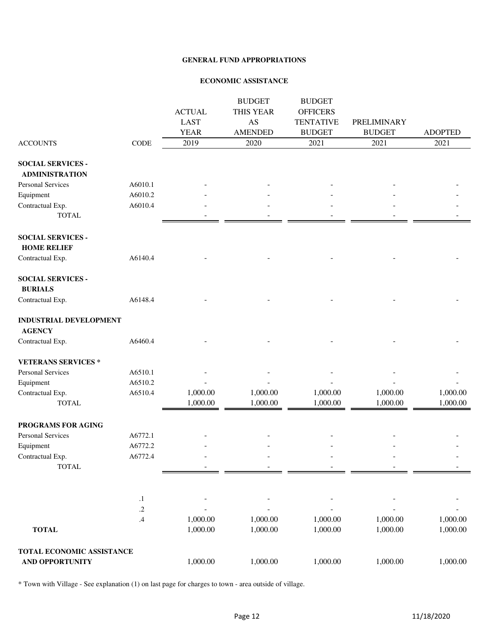#### **ECONOMIC ASSISTANCE**

|                                                     |               | <b>ACTUAL</b><br><b>LAST</b><br><b>YEAR</b> | <b>BUDGET</b><br>THIS YEAR<br>AS<br><b>AMENDED</b> | <b>BUDGET</b><br><b>OFFICERS</b><br><b>TENTATIVE</b><br><b>BUDGET</b> | PRELIMINARY<br><b>BUDGET</b> | <b>ADOPTED</b>       |
|-----------------------------------------------------|---------------|---------------------------------------------|----------------------------------------------------|-----------------------------------------------------------------------|------------------------------|----------------------|
| <b>ACCOUNTS</b>                                     | CODE          | 2019                                        | 2020                                               | 2021                                                                  | 2021                         | 2021                 |
| <b>SOCIAL SERVICES -</b><br><b>ADMINISTRATION</b>   |               |                                             |                                                    |                                                                       |                              |                      |
| Personal Services                                   | A6010.1       |                                             |                                                    |                                                                       |                              |                      |
| Equipment                                           | A6010.2       |                                             |                                                    |                                                                       |                              |                      |
| Contractual Exp.<br><b>TOTAL</b>                    | A6010.4       |                                             |                                                    |                                                                       |                              |                      |
| <b>SOCIAL SERVICES -</b><br><b>HOME RELIEF</b>      |               |                                             |                                                    |                                                                       |                              |                      |
| Contractual Exp.                                    | A6140.4       |                                             |                                                    |                                                                       |                              |                      |
| <b>SOCIAL SERVICES -</b><br><b>BURIALS</b>          |               |                                             |                                                    |                                                                       |                              |                      |
| Contractual Exp.                                    | A6148.4       |                                             |                                                    |                                                                       |                              |                      |
| <b>INDUSTRIAL DEVELOPMENT</b><br><b>AGENCY</b>      |               |                                             |                                                    |                                                                       |                              |                      |
| Contractual Exp.                                    | A6460.4       |                                             |                                                    |                                                                       |                              |                      |
| <b>VETERANS SERVICES *</b>                          |               |                                             |                                                    |                                                                       |                              |                      |
| <b>Personal Services</b>                            | A6510.1       |                                             |                                                    |                                                                       |                              |                      |
| Equipment                                           | A6510.2       |                                             |                                                    |                                                                       |                              |                      |
| Contractual Exp.                                    | A6510.4       | 1,000.00                                    | 1,000.00                                           | 1,000.00                                                              | 1,000.00                     | 1,000.00             |
| <b>TOTAL</b>                                        |               | 1,000.00                                    | 1,000.00                                           | 1,000.00                                                              | 1,000.00                     | 1,000.00             |
| PROGRAMS FOR AGING                                  |               |                                             |                                                    |                                                                       |                              |                      |
| Personal Services                                   | A6772.1       |                                             |                                                    |                                                                       |                              |                      |
| Equipment                                           | A6772.2       |                                             |                                                    |                                                                       |                              |                      |
| Contractual Exp.<br><b>TOTAL</b>                    | A6772.4       |                                             |                                                    |                                                                       |                              |                      |
|                                                     | $\cdot^1$     |                                             |                                                    |                                                                       |                              |                      |
|                                                     | $.2\,$        |                                             |                                                    |                                                                       |                              |                      |
| <b>TOTAL</b>                                        | $\mathcal{A}$ | 1,000.00<br>1,000.00                        | 1,000.00<br>1,000.00                               | 1,000.00<br>1,000.00                                                  | 1,000.00<br>1,000.00         | 1,000.00<br>1,000.00 |
| TOTAL ECONOMIC ASSISTANCE<br><b>AND OPPORTUNITY</b> |               | 1,000.00                                    | 1,000.00                                           | 1,000.00                                                              |                              |                      |
|                                                     |               |                                             |                                                    |                                                                       | 1,000.00                     | 1,000.00             |

\* Town with Village - See explanation (1) on last page for charges to town - area outside of village.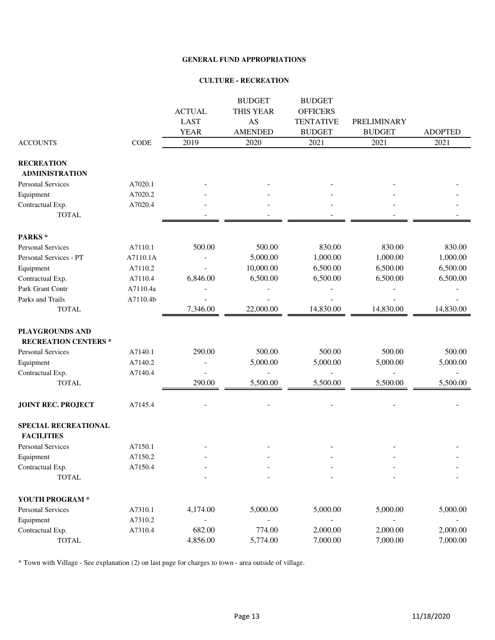#### **CULTURE - RECREATION**

|                                           |             |               | <b>BUDGET</b>  | <b>BUDGET</b>    |               |                |
|-------------------------------------------|-------------|---------------|----------------|------------------|---------------|----------------|
|                                           |             | <b>ACTUAL</b> | THIS YEAR      | <b>OFFICERS</b>  |               |                |
|                                           |             | <b>LAST</b>   | AS             | <b>TENTATIVE</b> | PRELIMINARY   |                |
|                                           |             | <b>YEAR</b>   | <b>AMENDED</b> | <b>BUDGET</b>    | <b>BUDGET</b> | <b>ADOPTED</b> |
| <b>ACCOUNTS</b>                           | <b>CODE</b> | 2019          | 2020           | 2021             | 2021          | 2021           |
| <b>RECREATION</b>                         |             |               |                |                  |               |                |
| <b>ADMINISTRATION</b>                     |             |               |                |                  |               |                |
| <b>Personal Services</b>                  | A7020.1     |               |                |                  |               |                |
| Equipment                                 | A7020.2     |               |                |                  |               |                |
| Contractual Exp.                          | A7020.4     |               |                |                  |               |                |
| <b>TOTAL</b>                              |             |               |                |                  |               |                |
| PARKS*                                    |             |               |                |                  |               |                |
| <b>Personal Services</b>                  | A7110.1     | 500.00        | 500.00         | 830.00           | 830.00        | 830.00         |
| Personal Services - PT                    | A7110.1A    |               | 5,000.00       | 1,000.00         | 1,000.00      | 1,000.00       |
| Equipment                                 | A7110.2     |               | 10,000.00      | 6,500.00         | 6,500.00      | 6,500.00       |
| Contractual Exp.                          | A7110.4     | 6,846.00      | 6,500.00       | 6,500.00         | 6,500.00      | 6,500.00       |
| Park Grant Contr                          | A7110.4a    |               |                |                  |               |                |
| Parks and Trails                          | A7110.4b    |               |                |                  |               |                |
| <b>TOTAL</b>                              |             | 7,346.00      | 22,000.00      | 14,830.00        | 14,830.00     | 14,830.00      |
| PLAYGROUNDS AND                           |             |               |                |                  |               |                |
| <b>RECREATION CENTERS*</b>                |             |               |                |                  |               |                |
| <b>Personal Services</b>                  | A7140.1     | 290.00        | 500.00         | 500.00           | 500.00        | 500.00         |
| Equipment                                 | A7140.2     |               | 5,000.00       | 5,000.00         | 5,000.00      | 5,000.00       |
| Contractual Exp.                          | A7140.4     |               |                |                  |               |                |
| <b>TOTAL</b>                              |             | 290.00        | 5,500.00       | 5,500.00         | 5,500.00      | 5,500.00       |
| <b>JOINT REC. PROJECT</b>                 | A7145.4     |               |                |                  |               |                |
| SPECIAL RECREATIONAL<br><b>FACILITIES</b> |             |               |                |                  |               |                |
| Personal Services                         | A7150.1     |               |                |                  |               |                |
| Equipment                                 | A7150.2     |               |                |                  |               |                |
| Contractual Exp.                          | A7150.4     |               |                |                  |               |                |
| <b>TOTAL</b>                              |             |               |                |                  |               |                |
| YOUTH PROGRAM *                           |             |               |                |                  |               |                |
| Personal Services                         | A7310.1     | 4,174.00      | 5,000.00       | 5,000.00         | 5,000.00      | 5,000.00       |
| Equipment                                 | A7310.2     |               |                |                  |               |                |
| Contractual Exp.                          | A7310.4     | 682.00        | 774.00         | 2,000.00         | 2,000.00      | 2,000.00       |
| <b>TOTAL</b>                              |             | 4,856.00      | 5,774.00       | 7,000.00         | 7,000.00      | 7,000.00       |

\* Town with Village - See explanation (2) on last page for charges to town - area outside of village.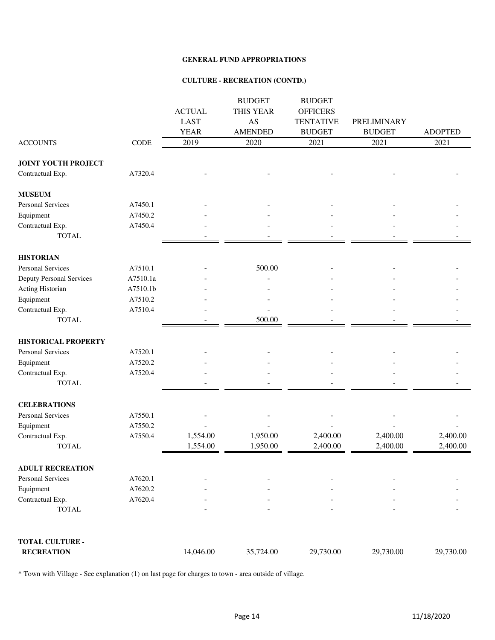#### **CULTURE - RECREATION (CONTD.)**

|                                 |             | <b>ACTUAL</b><br><b>LAST</b><br><b>YEAR</b> | <b>BUDGET</b><br>THIS YEAR<br>AS<br><b>AMENDED</b> | <b>BUDGET</b><br><b>OFFICERS</b><br><b>TENTATIVE</b><br><b>BUDGET</b> | PRELIMINARY<br><b>BUDGET</b> | <b>ADOPTED</b> |
|---------------------------------|-------------|---------------------------------------------|----------------------------------------------------|-----------------------------------------------------------------------|------------------------------|----------------|
| <b>ACCOUNTS</b>                 | <b>CODE</b> | 2019                                        | 2020                                               | 2021                                                                  | 2021                         | 2021           |
| <b>JOINT YOUTH PROJECT</b>      |             |                                             |                                                    |                                                                       |                              |                |
| Contractual Exp.                | A7320.4     |                                             |                                                    |                                                                       |                              |                |
| <b>MUSEUM</b>                   |             |                                             |                                                    |                                                                       |                              |                |
| <b>Personal Services</b>        | A7450.1     |                                             |                                                    |                                                                       |                              |                |
| Equipment                       | A7450.2     |                                             |                                                    |                                                                       |                              |                |
| Contractual Exp.                | A7450.4     |                                             |                                                    |                                                                       |                              |                |
| <b>TOTAL</b>                    |             |                                             |                                                    |                                                                       |                              |                |
| <b>HISTORIAN</b>                |             |                                             |                                                    |                                                                       |                              |                |
| <b>Personal Services</b>        | A7510.1     |                                             | 500.00                                             |                                                                       |                              |                |
| <b>Deputy Personal Services</b> | A7510.1a    |                                             |                                                    |                                                                       |                              |                |
| Acting Historian                | A7510.1b    |                                             |                                                    |                                                                       |                              |                |
| Equipment                       | A7510.2     |                                             |                                                    |                                                                       |                              |                |
| Contractual Exp.                | A7510.4     |                                             |                                                    |                                                                       |                              |                |
| <b>TOTAL</b>                    |             |                                             | 500.00                                             |                                                                       |                              |                |
| <b>HISTORICAL PROPERTY</b>      |             |                                             |                                                    |                                                                       |                              |                |
| Personal Services               | A7520.1     |                                             |                                                    |                                                                       |                              |                |
| Equipment                       | A7520.2     |                                             |                                                    |                                                                       |                              |                |
| Contractual Exp.                | A7520.4     |                                             |                                                    |                                                                       |                              |                |
| <b>TOTAL</b>                    |             |                                             |                                                    |                                                                       |                              |                |
| <b>CELEBRATIONS</b>             |             |                                             |                                                    |                                                                       |                              |                |
| <b>Personal Services</b>        | A7550.1     |                                             |                                                    |                                                                       |                              |                |
| Equipment                       | A7550.2     |                                             |                                                    |                                                                       |                              |                |
| Contractual Exp.                | A7550.4     | 1,554.00                                    | 1,950.00                                           | 2,400.00                                                              | 2,400.00                     | 2,400.00       |
| <b>TOTAL</b>                    |             | 1,554.00                                    | 1,950.00                                           | 2,400.00                                                              | 2,400.00                     | 2,400.00       |
| <b>ADULT RECREATION</b>         |             |                                             |                                                    |                                                                       |                              |                |
| Personal Services               | A7620.1     |                                             |                                                    |                                                                       |                              |                |
| Equipment                       | A7620.2     |                                             |                                                    |                                                                       |                              |                |
| Contractual Exp.                | A7620.4     |                                             |                                                    |                                                                       |                              |                |
| <b>TOTAL</b>                    |             |                                             |                                                    |                                                                       |                              |                |
| <b>TOTAL CULTURE -</b>          |             |                                             |                                                    |                                                                       |                              |                |
| <b>RECREATION</b>               |             | 14,046.00                                   | 35,724.00                                          | 29,730.00                                                             | 29,730.00                    | 29,730.00      |

\* Town with Village - See explanation (1) on last page for charges to town - area outside of village.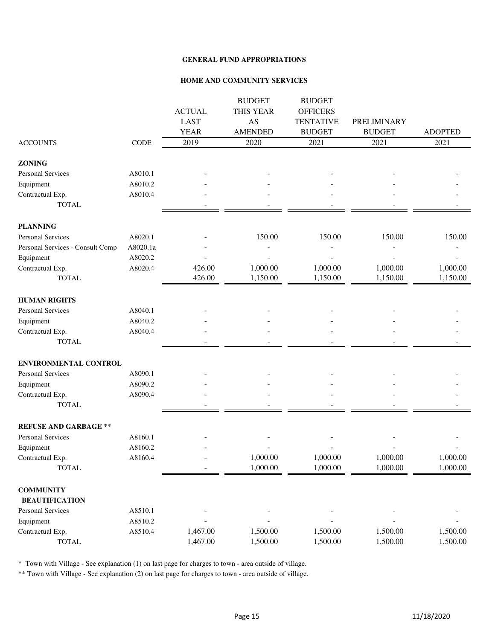#### **HOME AND COMMUNITY SERVICES**

|                                  |          |               | <b>BUDGET</b>  | <b>BUDGET</b>    |               |                |
|----------------------------------|----------|---------------|----------------|------------------|---------------|----------------|
|                                  |          | <b>ACTUAL</b> | THIS YEAR      | <b>OFFICERS</b>  |               |                |
|                                  |          | <b>LAST</b>   | AS             | <b>TENTATIVE</b> | PRELIMINARY   |                |
|                                  |          | <b>YEAR</b>   | <b>AMENDED</b> | <b>BUDGET</b>    | <b>BUDGET</b> | <b>ADOPTED</b> |
| <b>ACCOUNTS</b>                  | CODE     | 2019          | 2020           | 2021             | 2021          | 2021           |
| <b>ZONING</b>                    |          |               |                |                  |               |                |
| Personal Services                | A8010.1  |               |                |                  |               |                |
| Equipment                        | A8010.2  |               |                |                  |               |                |
| Contractual Exp.                 | A8010.4  |               |                |                  |               |                |
| <b>TOTAL</b>                     |          |               |                |                  |               |                |
| <b>PLANNING</b>                  |          |               |                |                  |               |                |
| <b>Personal Services</b>         | A8020.1  |               | 150.00         | 150.00           | 150.00        | 150.00         |
| Personal Services - Consult Comp | A8020.1a |               |                |                  |               |                |
| Equipment                        | A8020.2  |               |                |                  |               |                |
| Contractual Exp.                 | A8020.4  | 426.00        | 1,000.00       | 1,000.00         | 1,000.00      | 1,000.00       |
| <b>TOTAL</b>                     |          | 426.00        | 1,150.00       | 1,150.00         | 1,150.00      | 1,150.00       |
| <b>HUMAN RIGHTS</b>              |          |               |                |                  |               |                |
| <b>Personal Services</b>         | A8040.1  |               |                |                  |               |                |
| Equipment                        | A8040.2  |               |                |                  |               |                |
| Contractual Exp.                 | A8040.4  |               |                |                  |               |                |
| <b>TOTAL</b>                     |          |               |                |                  |               |                |
| ENVIRONMENTAL CONTROL            |          |               |                |                  |               |                |
| <b>Personal Services</b>         | A8090.1  |               |                |                  |               |                |
| Equipment                        | A8090.2  |               |                |                  |               |                |
| Contractual Exp.                 | A8090.4  |               |                |                  |               |                |
| <b>TOTAL</b>                     |          |               |                |                  |               |                |
| <b>REFUSE AND GARBAGE **</b>     |          |               |                |                  |               |                |
| <b>Personal Services</b>         | A8160.1  |               |                |                  |               |                |
| Equipment                        | A8160.2  |               |                |                  |               |                |
| Contractual Exp.                 | A8160.4  |               | 1,000.00       | 1,000.00         | 1,000.00      | 1,000.00       |
| <b>TOTAL</b>                     |          |               | 1,000.00       | 1,000.00         | 1,000.00      | 1,000.00       |
| <b>COMMUNITY</b>                 |          |               |                |                  |               |                |
| <b>BEAUTIFICATION</b>            |          |               |                |                  |               |                |
| <b>Personal Services</b>         | A8510.1  |               |                |                  |               |                |
| Equipment                        | A8510.2  |               |                |                  |               |                |
| Contractual Exp.                 | A8510.4  | 1,467.00      | 1,500.00       | 1,500.00         | 1,500.00      | 1,500.00       |
| <b>TOTAL</b>                     |          | 1,467.00      | 1,500.00       | 1,500.00         | 1,500.00      | 1,500.00       |

\* Town with Village - See explanation (1) on last page for charges to town - area outside of village.

\*\* Town with Village - See explanation (2) on last page for charges to town - area outside of village.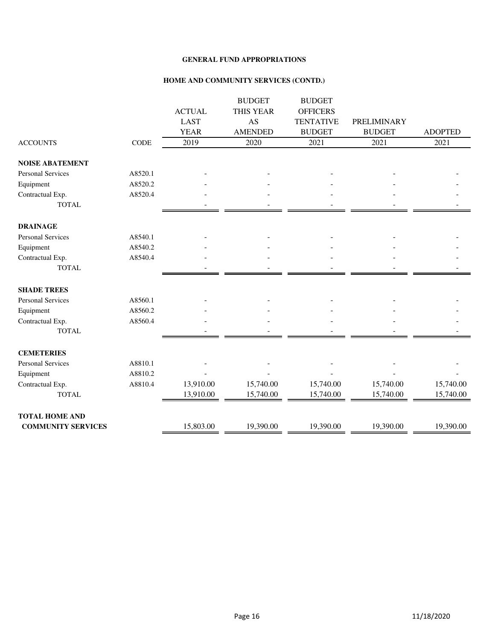#### **HOME AND COMMUNITY SERVICES (CONTD.)**

|                           |             |               | <b>BUDGET</b>  | <b>BUDGET</b>    |               |                |
|---------------------------|-------------|---------------|----------------|------------------|---------------|----------------|
|                           |             | <b>ACTUAL</b> | THIS YEAR      | <b>OFFICERS</b>  |               |                |
|                           |             | <b>LAST</b>   | AS             | <b>TENTATIVE</b> | PRELIMINARY   |                |
|                           |             | <b>YEAR</b>   | <b>AMENDED</b> | <b>BUDGET</b>    | <b>BUDGET</b> | <b>ADOPTED</b> |
| <b>ACCOUNTS</b>           | <b>CODE</b> | 2019          | 2020           | 2021             | 2021          | 2021           |
| <b>NOISE ABATEMENT</b>    |             |               |                |                  |               |                |
| <b>Personal Services</b>  | A8520.1     |               |                |                  |               |                |
| Equipment                 | A8520.2     |               |                |                  |               |                |
| Contractual Exp.          | A8520.4     |               |                |                  |               |                |
| <b>TOTAL</b>              |             |               |                |                  |               |                |
| <b>DRAINAGE</b>           |             |               |                |                  |               |                |
| <b>Personal Services</b>  | A8540.1     |               |                |                  |               |                |
| Equipment                 | A8540.2     |               |                |                  |               |                |
| Contractual Exp.          | A8540.4     |               |                |                  |               |                |
| <b>TOTAL</b>              |             |               |                |                  |               |                |
| <b>SHADE TREES</b>        |             |               |                |                  |               |                |
| <b>Personal Services</b>  | A8560.1     |               |                |                  |               |                |
| Equipment                 | A8560.2     |               |                |                  |               |                |
| Contractual Exp.          | A8560.4     |               |                |                  |               |                |
| <b>TOTAL</b>              |             |               |                |                  |               |                |
| <b>CEMETERIES</b>         |             |               |                |                  |               |                |
| <b>Personal Services</b>  | A8810.1     |               |                |                  |               |                |
| Equipment                 | A8810.2     |               |                |                  |               |                |
| Contractual Exp.          | A8810.4     | 13,910.00     | 15,740.00      | 15,740.00        | 15,740.00     | 15,740.00      |
| <b>TOTAL</b>              |             | 13,910.00     | 15,740.00      | 15,740.00        | 15,740.00     | 15,740.00      |
| <b>TOTAL HOME AND</b>     |             |               |                |                  |               |                |
| <b>COMMUNITY SERVICES</b> |             | 15,803.00     | 19,390.00      | 19,390.00        | 19,390.00     | 19,390.00      |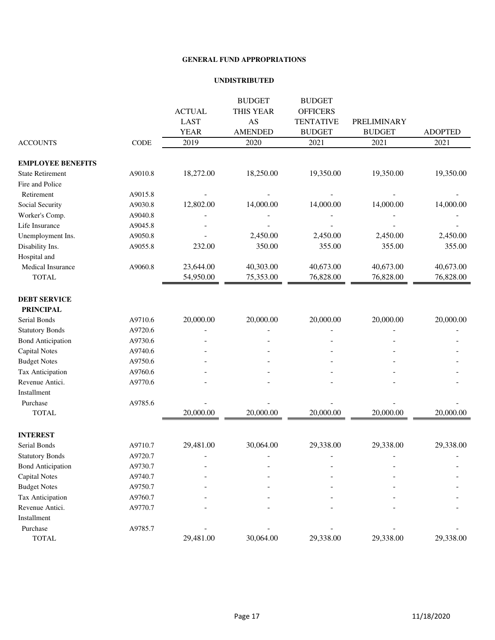#### **UNDISTRIBUTED**

|                          |             | <b>ACTUAL</b> | <b>BUDGET</b><br>THIS YEAR | <b>BUDGET</b><br><b>OFFICERS</b> |               |                |
|--------------------------|-------------|---------------|----------------------------|----------------------------------|---------------|----------------|
|                          |             | <b>LAST</b>   | AS                         | <b>TENTATIVE</b>                 | PRELIMINARY   |                |
|                          |             | <b>YEAR</b>   | <b>AMENDED</b>             | <b>BUDGET</b>                    | <b>BUDGET</b> | <b>ADOPTED</b> |
| <b>ACCOUNTS</b>          | <b>CODE</b> | 2019          | 2020                       | 2021                             | 2021          | 2021           |
|                          |             |               |                            |                                  |               |                |
| <b>EMPLOYEE BENEFITS</b> |             |               |                            |                                  |               |                |
| <b>State Retirement</b>  | A9010.8     | 18,272.00     | 18,250.00                  | 19,350.00                        | 19,350.00     | 19,350.00      |
| Fire and Police          |             |               |                            |                                  |               |                |
| Retirement               | A9015.8     |               |                            |                                  |               |                |
| Social Security          | A9030.8     | 12,802.00     | 14,000.00                  | 14,000.00                        | 14,000.00     | 14,000.00      |
| Worker's Comp.           | A9040.8     |               |                            |                                  |               |                |
| Life Insurance           | A9045.8     |               |                            |                                  |               |                |
| Unemployment Ins.        | A9050.8     |               | 2,450.00                   | 2,450.00                         | 2,450.00      | 2,450.00       |
| Disability Ins.          | A9055.8     | 232.00        | 350.00                     | 355.00                           | 355.00        | 355.00         |
| Hospital and             |             |               |                            |                                  |               |                |
| Medical Insurance        | A9060.8     | 23,644.00     | 40,303.00                  | 40,673.00                        | 40,673.00     | 40,673.00      |
| <b>TOTAL</b>             |             | 54,950.00     | 75,353.00                  | 76,828.00                        | 76,828.00     | 76,828.00      |
| <b>DEBT SERVICE</b>      |             |               |                            |                                  |               |                |
| <b>PRINCIPAL</b>         |             |               |                            |                                  |               |                |
| Serial Bonds             | A9710.6     | 20,000.00     | 20,000.00                  | 20,000.00                        | 20,000.00     | 20,000.00      |
| <b>Statutory Bonds</b>   | A9720.6     |               |                            |                                  |               |                |
| <b>Bond Anticipation</b> | A9730.6     |               |                            |                                  |               |                |
| <b>Capital Notes</b>     | A9740.6     |               |                            |                                  |               |                |
| <b>Budget Notes</b>      | A9750.6     |               |                            |                                  |               |                |
| Tax Anticipation         | A9760.6     |               |                            |                                  |               |                |
| Revenue Antici.          | A9770.6     |               |                            |                                  |               |                |
| Installment              |             |               |                            |                                  |               |                |
| Purchase                 | A9785.6     |               |                            |                                  |               |                |
| <b>TOTAL</b>             |             | 20,000.00     | 20,000.00                  | 20,000.00                        | 20,000.00     | 20,000.00      |
| <b>INTEREST</b>          |             |               |                            |                                  |               |                |
| Serial Bonds             | A9710.7     | 29,481.00     | 30,064.00                  | 29,338.00                        | 29,338.00     | 29,338.00      |
| <b>Statutory Bonds</b>   | A9720.7     |               |                            |                                  |               |                |
| <b>Bond Anticipation</b> | A9730.7     |               |                            |                                  |               |                |
| <b>Capital Notes</b>     | A9740.7     |               |                            |                                  |               |                |
| <b>Budget Notes</b>      | A9750.7     |               |                            |                                  |               |                |
| Tax Anticipation         | A9760.7     |               |                            |                                  |               |                |
| Revenue Antici.          | A9770.7     |               |                            |                                  |               |                |
| Installment              |             |               |                            |                                  |               |                |
| Purchase                 | A9785.7     |               |                            |                                  |               |                |
| <b>TOTAL</b>             |             | 29,481.00     | 30,064.00                  | 29,338.00                        | 29,338.00     | 29,338.00      |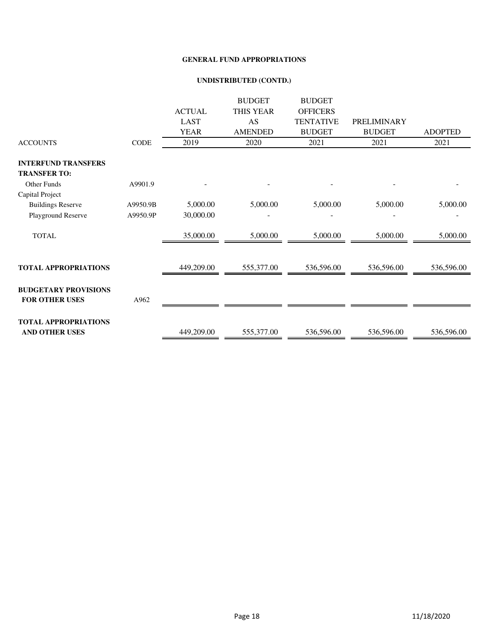#### **UNDISTRIBUTED (CONTD.)**

|                                                      |          |               | <b>BUDGET</b>    | <b>BUDGET</b>    |               |                |
|------------------------------------------------------|----------|---------------|------------------|------------------|---------------|----------------|
|                                                      |          | <b>ACTUAL</b> | <b>THIS YEAR</b> | <b>OFFICERS</b>  |               |                |
|                                                      |          | <b>LAST</b>   | AS               | <b>TENTATIVE</b> | PRELIMINARY   |                |
|                                                      |          | <b>YEAR</b>   | <b>AMENDED</b>   | <b>BUDGET</b>    | <b>BUDGET</b> | <b>ADOPTED</b> |
| <b>ACCOUNTS</b>                                      | CODE     | 2019          | 2020             | 2021             | 2021          | 2021           |
| <b>INTERFUND TRANSFERS</b>                           |          |               |                  |                  |               |                |
| <b>TRANSFER TO:</b>                                  |          |               |                  |                  |               |                |
| <b>Other Funds</b>                                   | A9901.9  |               |                  |                  |               |                |
| Capital Project                                      |          |               |                  |                  |               |                |
| <b>Buildings Reserve</b>                             | A9950.9B | 5,000.00      | 5,000.00         | 5,000.00         | 5,000.00      | 5,000.00       |
| Playground Reserve                                   | A9950.9P | 30,000.00     |                  |                  |               |                |
| <b>TOTAL</b>                                         |          | 35,000.00     | 5,000.00         | 5,000.00         | 5,000.00      | 5,000.00       |
|                                                      |          |               |                  |                  |               |                |
| <b>TOTAL APPROPRIATIONS</b>                          |          | 449,209.00    | 555,377.00       | 536,596.00       | 536,596.00    | 536,596.00     |
| <b>BUDGETARY PROVISIONS</b><br><b>FOR OTHER USES</b> | A962     |               |                  |                  |               |                |
|                                                      |          |               |                  |                  |               |                |
| <b>TOTAL APPROPRIATIONS</b>                          |          |               |                  |                  |               |                |
| <b>AND OTHER USES</b>                                |          | 449,209.00    | 555,377.00       | 536,596.00       | 536,596.00    | 536,596.00     |
|                                                      |          |               |                  |                  |               |                |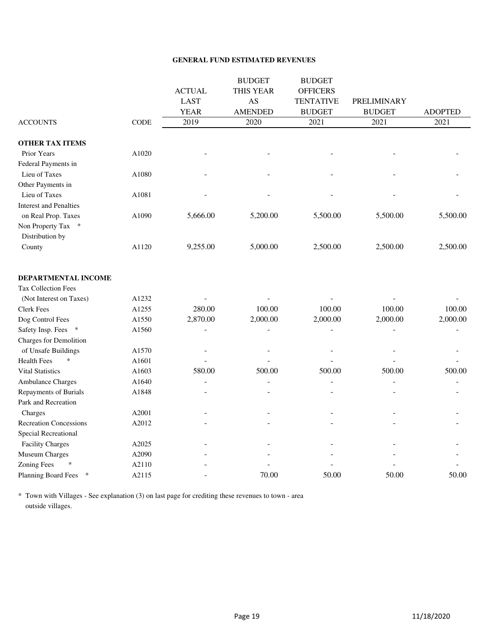#### **GENERAL FUND ESTIMATED REVENUES**

|                               |             |               | <b>BUDGET</b>  | <b>BUDGET</b>    |                          |                |
|-------------------------------|-------------|---------------|----------------|------------------|--------------------------|----------------|
|                               |             | <b>ACTUAL</b> | THIS YEAR      | <b>OFFICERS</b>  |                          |                |
|                               |             | <b>LAST</b>   | AS             | <b>TENTATIVE</b> | PRELIMINARY              |                |
|                               |             | <b>YEAR</b>   | <b>AMENDED</b> | <b>BUDGET</b>    | <b>BUDGET</b>            | <b>ADOPTED</b> |
| <b>ACCOUNTS</b>               | <b>CODE</b> | 2019          | 2020           | 2021             | 2021                     | 2021           |
| <b>OTHER TAX ITEMS</b>        |             |               |                |                  |                          |                |
| Prior Years                   | A1020       |               |                |                  |                          |                |
| Federal Payments in           |             |               |                |                  |                          |                |
| Lieu of Taxes                 | A1080       |               |                |                  |                          |                |
| Other Payments in             |             |               |                |                  |                          |                |
| Lieu of Taxes                 | A1081       |               |                |                  |                          |                |
| <b>Interest and Penalties</b> |             |               |                |                  |                          |                |
| on Real Prop. Taxes           | A1090       | 5,666.00      | 5,200.00       | 5,500.00         | 5,500.00                 | 5,500.00       |
| Non Property Tax *            |             |               |                |                  |                          |                |
| Distribution by               |             |               |                |                  |                          |                |
| County                        | A1120       | 9,255.00      | 5,000.00       | 2,500.00         | 2,500.00                 | 2,500.00       |
| DEPARTMENTAL INCOME           |             |               |                |                  |                          |                |
| <b>Tax Collection Fees</b>    |             |               |                |                  |                          |                |
| (Not Interest on Taxes)       | A1232       |               |                |                  |                          |                |
| <b>Clerk Fees</b>             | A1255       | 280.00        | 100.00         | 100.00           | 100.00                   | 100.00         |
| Dog Control Fees              | A1550       | 2,870.00      | 2,000.00       | 2,000.00         | 2,000.00                 | 2,000.00       |
| Safety Insp. Fees *           | A1560       |               |                |                  |                          |                |
| <b>Charges for Demolition</b> |             |               |                |                  |                          |                |
| of Unsafe Buildings           | A1570       |               |                |                  |                          |                |
| <b>Health Fees</b><br>$\ast$  | A1601       |               |                |                  |                          |                |
| <b>Vital Statistics</b>       | A1603       | 580.00        | 500.00         | 500.00           | 500.00                   | 500.00         |
| Ambulance Charges             | A1640       |               |                |                  |                          |                |
| Repayments of Burials         | A1848       |               |                |                  | $\overline{\phantom{a}}$ |                |
| Park and Recreation           |             |               |                |                  |                          |                |
| Charges                       | A2001       |               |                |                  |                          |                |
| <b>Recreation Concessions</b> | A2012       |               |                |                  |                          |                |
| Special Recreational          |             |               |                |                  |                          |                |
| <b>Facility Charges</b>       | A2025       |               |                |                  |                          |                |
| Museum Charges                | A2090       |               |                |                  |                          |                |
| <b>Zoning Fees</b>            | A2110       |               |                |                  |                          |                |
| Planning Board Fees<br>$\ast$ | A2115       |               | 70.00          | 50.00            | 50.00                    | 50.00          |

\* Town with Villages - See explanation (3) on last page for crediting these revenues to town - area outside villages.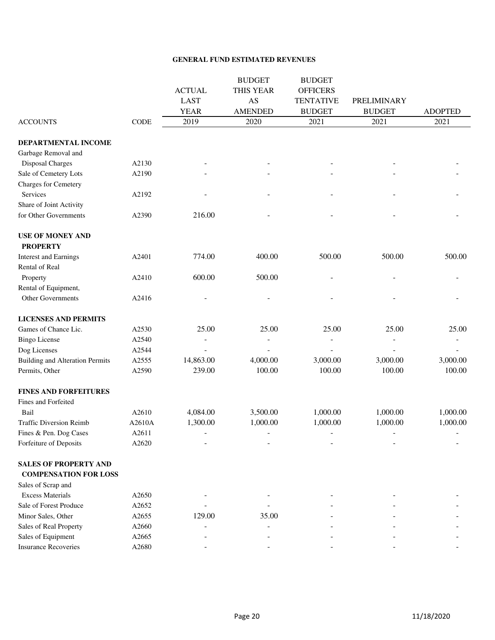#### **GENERAL FUND ESTIMATED REVENUES**

|                                        |        |                          | <b>BUDGET</b>            | <b>BUDGET</b>            |                          |                          |
|----------------------------------------|--------|--------------------------|--------------------------|--------------------------|--------------------------|--------------------------|
|                                        |        | <b>ACTUAL</b>            | THIS YEAR                | <b>OFFICERS</b>          |                          |                          |
|                                        |        | <b>LAST</b>              | AS                       | <b>TENTATIVE</b>         | PRELIMINARY              |                          |
|                                        |        | <b>YEAR</b>              | <b>AMENDED</b>           | <b>BUDGET</b>            | <b>BUDGET</b>            | <b>ADOPTED</b>           |
| <b>ACCOUNTS</b>                        | CODE   | 2019                     | 2020                     | 2021                     | 2021                     | 2021                     |
| DEPARTMENTAL INCOME                    |        |                          |                          |                          |                          |                          |
| Garbage Removal and                    |        |                          |                          |                          |                          |                          |
| <b>Disposal Charges</b>                | A2130  |                          |                          |                          |                          |                          |
| Sale of Cemetery Lots                  | A2190  |                          |                          |                          |                          |                          |
| <b>Charges for Cemetery</b>            |        |                          |                          |                          |                          |                          |
| Services                               | A2192  |                          |                          |                          |                          |                          |
| Share of Joint Activity                |        |                          |                          |                          |                          |                          |
| for Other Governments                  | A2390  | 216.00                   |                          |                          |                          |                          |
| <b>USE OF MONEY AND</b>                |        |                          |                          |                          |                          |                          |
| <b>PROPERTY</b>                        |        |                          |                          |                          |                          |                          |
| <b>Interest and Earnings</b>           | A2401  | 774.00                   | 400.00                   | 500.00                   | 500.00                   | 500.00                   |
| Rental of Real                         |        |                          |                          |                          |                          |                          |
| Property                               | A2410  | 600.00                   | 500.00                   |                          |                          |                          |
| Rental of Equipment,                   |        |                          |                          |                          |                          |                          |
| Other Governments                      | A2416  |                          |                          |                          |                          |                          |
| <b>LICENSES AND PERMITS</b>            |        |                          |                          |                          |                          |                          |
| Games of Chance Lic.                   | A2530  | 25.00                    | 25.00                    | 25.00                    | 25.00                    | 25.00                    |
| <b>Bingo License</b>                   | A2540  |                          |                          |                          |                          |                          |
| Dog Licenses                           | A2544  |                          |                          |                          |                          |                          |
| <b>Building and Alteration Permits</b> | A2555  | 14,863.00                | 4,000.00                 | 3,000.00                 | 3,000.00                 | 3,000.00                 |
| Permits, Other                         | A2590  | 239.00                   | 100.00                   | 100.00                   | 100.00                   | 100.00                   |
| <b>FINES AND FORFEITURES</b>           |        |                          |                          |                          |                          |                          |
| Fines and Forfeited                    |        |                          |                          |                          |                          |                          |
| Bail                                   | A2610  | 4,084.00                 | 3,500.00                 | 1,000.00                 | 1,000.00                 | 1,000.00                 |
| <b>Traffic Diversion Reimb</b>         | A2610A | 1,300.00                 | 1,000.00                 | 1,000.00                 | 1,000.00                 | 1,000.00                 |
| Fines & Pen. Dog Cases                 | A2611  | $\overline{\phantom{a}}$ | $\overline{\phantom{0}}$ | $\overline{\phantom{0}}$ | $\overline{\phantom{a}}$ | $\overline{\phantom{0}}$ |
| Forfeiture of Deposits                 | A2620  |                          |                          |                          |                          |                          |
| <b>SALES OF PROPERTY AND</b>           |        |                          |                          |                          |                          |                          |
| <b>COMPENSATION FOR LOSS</b>           |        |                          |                          |                          |                          |                          |
| Sales of Scrap and                     |        |                          |                          |                          |                          |                          |
| <b>Excess Materials</b>                | A2650  |                          |                          |                          |                          |                          |
| Sale of Forest Produce                 | A2652  |                          |                          |                          |                          |                          |
| Minor Sales, Other                     | A2655  | 129.00                   | 35.00                    |                          |                          |                          |
| Sales of Real Property                 | A2660  |                          |                          |                          |                          |                          |
| Sales of Equipment                     | A2665  |                          |                          |                          |                          |                          |
| <b>Insurance Recoveries</b>            | A2680  |                          |                          |                          |                          |                          |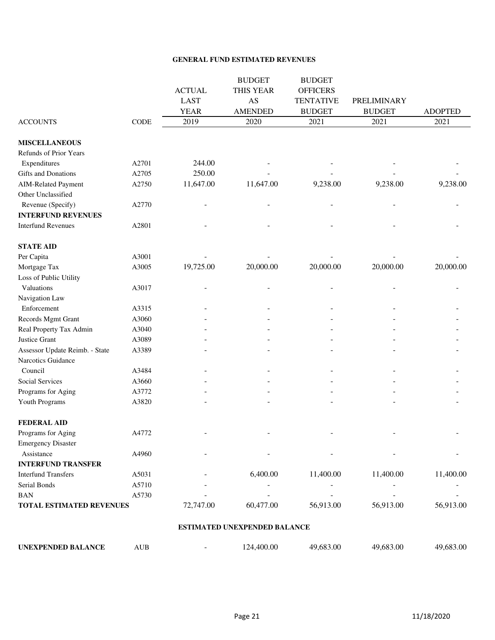#### **GENERAL FUND ESTIMATED REVENUES**

|                                |       |               | <b>BUDGET</b>  | <b>BUDGET</b>    |               |                |
|--------------------------------|-------|---------------|----------------|------------------|---------------|----------------|
|                                |       | <b>ACTUAL</b> | THIS YEAR      | <b>OFFICERS</b>  |               |                |
|                                |       | <b>LAST</b>   | AS             | <b>TENTATIVE</b> | PRELIMINARY   |                |
|                                |       | <b>YEAR</b>   | <b>AMENDED</b> | <b>BUDGET</b>    | <b>BUDGET</b> | <b>ADOPTED</b> |
| <b>ACCOUNTS</b>                | CODE  | 2019          | 2020           | 2021             | 2021          | 2021           |
| <b>MISCELLANEOUS</b>           |       |               |                |                  |               |                |
| Refunds of Prior Years         |       |               |                |                  |               |                |
| Expenditures                   | A2701 | 244.00        |                |                  |               |                |
| Gifts and Donations            | A2705 | 250.00        |                |                  |               |                |
| <b>AIM-Related Payment</b>     | A2750 | 11,647.00     | 11,647.00      | 9,238.00         | 9,238.00      | 9,238.00       |
| Other Unclassified             |       |               |                |                  |               |                |
| Revenue (Specify)              | A2770 |               |                |                  |               |                |
| <b>INTERFUND REVENUES</b>      |       |               |                |                  |               |                |
| <b>Interfund Revenues</b>      | A2801 |               |                |                  |               |                |
| <b>STATE AID</b>               |       |               |                |                  |               |                |
| Per Capita                     | A3001 |               |                |                  |               |                |
| Mortgage Tax                   | A3005 | 19,725.00     | 20,000.00      | 20,000.00        | 20,000.00     | 20,000.00      |
| Loss of Public Utility         |       |               |                |                  |               |                |
| Valuations                     | A3017 |               |                |                  |               |                |
| Navigation Law                 |       |               |                |                  |               |                |
| Enforcement                    | A3315 |               |                |                  |               |                |
| Records Mgmt Grant             | A3060 |               |                |                  |               |                |
| Real Property Tax Admin        | A3040 |               |                |                  |               |                |
| Justice Grant                  | A3089 |               |                |                  |               |                |
| Assessor Update Reimb. - State | A3389 |               |                |                  |               |                |
| Narcotics Guidance             |       |               |                |                  |               |                |
| Council                        | A3484 |               |                |                  |               |                |
| Social Services                | A3660 |               |                |                  |               |                |
| Programs for Aging             | A3772 |               |                |                  |               |                |
| Youth Programs                 | A3820 |               |                |                  |               |                |
| <b>FEDERAL AID</b>             |       |               |                |                  |               |                |
| Programs for Aging             | A4772 |               |                |                  |               |                |
| <b>Emergency Disaster</b>      |       |               |                |                  |               |                |
| Assistance                     | A4960 |               |                |                  |               |                |
| <b>INTERFUND TRANSFER</b>      |       |               |                |                  |               |                |
| <b>Interfund Transfers</b>     | A5031 |               | 6,400.00       | 11,400.00        | 11,400.00     | 11,400.00      |
| Serial Bonds                   | A5710 |               |                |                  |               |                |
| <b>BAN</b>                     | A5730 |               |                |                  |               |                |
| TOTAL ESTIMATED REVENUES       |       | 72,747.00     | 60,477.00      | 56,913.00        | 56,913.00     | 56,913.00      |

#### **ESTIMATED UNEXPENDED BALANCE**

| UNEXPENDED BALANCE | AUB | 124.400.00 | 49,683.00 | 49,683.00 | 49,683.00 |
|--------------------|-----|------------|-----------|-----------|-----------|
|                    |     |            |           |           |           |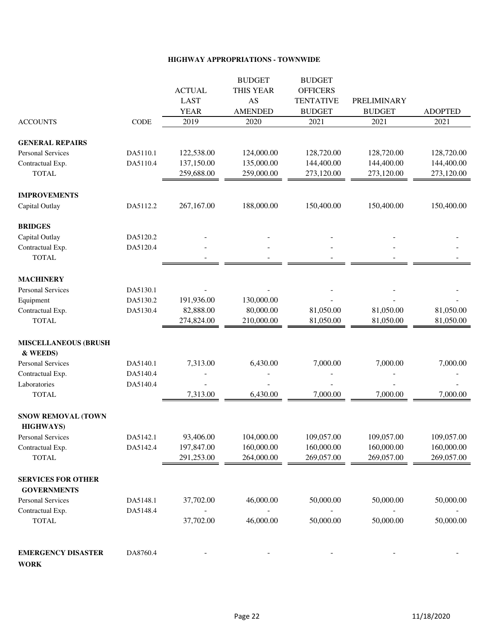#### **HIGHWAY APPROPRIATIONS - TOWNWIDE**

|                             |          |               | <b>BUDGET</b>  | <b>BUDGET</b>    |               |                |
|-----------------------------|----------|---------------|----------------|------------------|---------------|----------------|
|                             |          | <b>ACTUAL</b> | THIS YEAR      | <b>OFFICERS</b>  |               |                |
|                             |          | <b>LAST</b>   | AS             | <b>TENTATIVE</b> | PRELIMINARY   |                |
|                             |          | <b>YEAR</b>   | <b>AMENDED</b> | <b>BUDGET</b>    | <b>BUDGET</b> | <b>ADOPTED</b> |
| <b>ACCOUNTS</b>             | CODE     | 2019          | 2020           | 2021             | 2021          | 2021           |
| <b>GENERAL REPAIRS</b>      |          |               |                |                  |               |                |
| Personal Services           | DA5110.1 | 122,538.00    | 124,000.00     | 128,720.00       | 128,720.00    | 128,720.00     |
| Contractual Exp.            | DA5110.4 | 137,150.00    | 135,000.00     | 144,400.00       | 144,400.00    | 144,400.00     |
| <b>TOTAL</b>                |          | 259,688.00    | 259,000.00     | 273,120.00       | 273,120.00    | 273,120.00     |
| <b>IMPROVEMENTS</b>         |          |               |                |                  |               |                |
| Capital Outlay              | DA5112.2 | 267,167.00    | 188,000.00     | 150,400.00       | 150,400.00    | 150,400.00     |
| <b>BRIDGES</b>              |          |               |                |                  |               |                |
| Capital Outlay              | DA5120.2 |               |                |                  |               |                |
| Contractual Exp.            | DA5120.4 |               |                |                  |               |                |
| <b>TOTAL</b>                |          |               |                |                  |               |                |
| <b>MACHINERY</b>            |          |               |                |                  |               |                |
| <b>Personal Services</b>    | DA5130.1 |               |                |                  |               |                |
| Equipment                   | DA5130.2 | 191,936.00    | 130,000.00     |                  |               |                |
| Contractual Exp.            | DA5130.4 | 82,888.00     | 80,000.00      | 81,050.00        | 81,050.00     | 81,050.00      |
| <b>TOTAL</b>                |          | 274,824.00    | 210,000.00     | 81,050.00        | 81,050.00     | 81,050.00      |
| <b>MISCELLANEOUS (BRUSH</b> |          |               |                |                  |               |                |
| & WEEDS)                    |          |               |                |                  |               |                |
| <b>Personal Services</b>    | DA5140.1 | 7,313.00      | 6,430.00       | 7,000.00         | 7,000.00      | 7,000.00       |
| Contractual Exp.            | DA5140.4 |               |                |                  |               |                |
| Laboratories                | DA5140.4 |               |                |                  |               |                |
| <b>TOTAL</b>                |          | 7,313.00      | 6,430.00       | 7,000.00         | 7,000.00      | 7,000.00       |
| SNOW REMOVAL (TOWN          |          |               |                |                  |               |                |
| <b>HIGHWAYS)</b>            |          |               |                |                  |               |                |
| <b>Personal Services</b>    | DA5142.1 | 93,406.00     | 104,000.00     | 109,057.00       | 109,057.00    | 109,057.00     |
| Contractual Exp.            | DA5142.4 | 197,847.00    | 160,000.00     | 160,000.00       | 160,000.00    | 160,000.00     |
| <b>TOTAL</b>                |          | 291,253.00    | 264,000.00     | 269,057.00       | 269,057.00    | 269,057.00     |
| <b>SERVICES FOR OTHER</b>   |          |               |                |                  |               |                |
| <b>GOVERNMENTS</b>          |          |               |                |                  |               |                |
| <b>Personal Services</b>    | DA5148.1 | 37,702.00     | 46,000.00      | 50,000.00        | 50,000.00     | 50,000.00      |
| Contractual Exp.            | DA5148.4 |               |                |                  |               |                |
| <b>TOTAL</b>                |          | 37,702.00     | 46,000.00      | 50,000.00        | 50,000.00     | 50,000.00      |
| <b>EMERGENCY DISASTER</b>   | DA8760.4 |               |                |                  |               |                |
|                             |          |               |                |                  |               |                |

**WORK**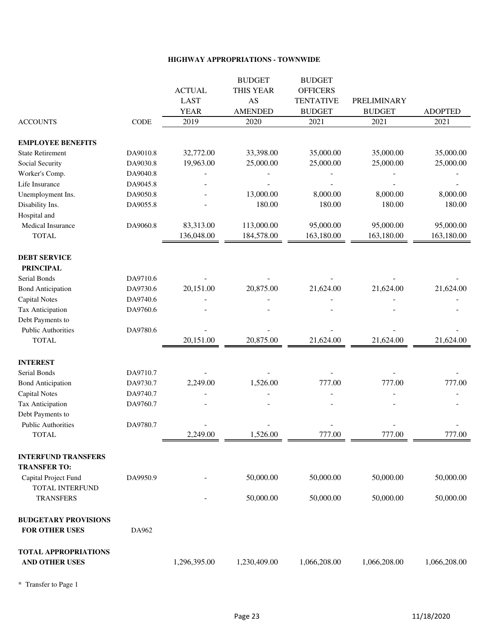#### **HIGHWAY APPROPRIATIONS - TOWNWIDE**

|                             |          |               | <b>BUDGET</b>  | <b>BUDGET</b>    |               |                |
|-----------------------------|----------|---------------|----------------|------------------|---------------|----------------|
|                             |          | <b>ACTUAL</b> | THIS YEAR      | <b>OFFICERS</b>  |               |                |
|                             |          | <b>LAST</b>   | AS             | <b>TENTATIVE</b> | PRELIMINARY   |                |
|                             |          | <b>YEAR</b>   | <b>AMENDED</b> | <b>BUDGET</b>    | <b>BUDGET</b> | <b>ADOPTED</b> |
| <b>ACCOUNTS</b>             | CODE     | 2019          | 2020           | 2021             | 2021          | 2021           |
| <b>EMPLOYEE BENEFITS</b>    |          |               |                |                  |               |                |
| <b>State Retirement</b>     | DA9010.8 | 32,772.00     | 33,398.00      | 35,000.00        | 35,000.00     | 35,000.00      |
| Social Security             | DA9030.8 | 19,963.00     | 25,000.00      | 25,000.00        | 25,000.00     | 25,000.00      |
| Worker's Comp.              | DA9040.8 |               |                |                  |               |                |
| Life Insurance              | DA9045.8 |               |                |                  |               |                |
| Unemployment Ins.           | DA9050.8 |               | 13,000.00      | 8,000.00         | 8,000.00      | 8,000.00       |
| Disability Ins.             | DA9055.8 |               | 180.00         | 180.00           | 180.00        | 180.00         |
| Hospital and                |          |               |                |                  |               |                |
| Medical Insurance           | DA9060.8 | 83,313.00     | 113,000.00     | 95,000.00        | 95,000.00     | 95,000.00      |
| <b>TOTAL</b>                |          | 136,048.00    | 184,578.00     | 163,180.00       | 163,180.00    | 163,180.00     |
| <b>DEBT SERVICE</b>         |          |               |                |                  |               |                |
| <b>PRINCIPAL</b>            |          |               |                |                  |               |                |
| Serial Bonds                | DA9710.6 |               |                |                  |               |                |
| <b>Bond Anticipation</b>    | DA9730.6 | 20,151.00     | 20,875.00      | 21,624.00        | 21,624.00     | 21,624.00      |
| <b>Capital Notes</b>        | DA9740.6 |               |                |                  |               |                |
| Tax Anticipation            | DA9760.6 |               |                |                  |               |                |
| Debt Payments to            |          |               |                |                  |               |                |
| <b>Public Authorities</b>   | DA9780.6 |               |                |                  |               |                |
| <b>TOTAL</b>                |          | 20,151.00     | 20,875.00      | 21,624.00        | 21,624.00     | 21,624.00      |
| <b>INTEREST</b>             |          |               |                |                  |               |                |
| Serial Bonds                | DA9710.7 |               |                |                  |               |                |
| <b>Bond Anticipation</b>    | DA9730.7 | 2,249.00      | 1,526.00       | 777.00           | 777.00        | 777.00         |
| <b>Capital Notes</b>        | DA9740.7 |               |                |                  |               |                |
| <b>Tax Anticipation</b>     | DA9760.7 |               |                |                  |               |                |
| Debt Payments to            |          |               |                |                  |               |                |
| <b>Public Authorities</b>   | DA9780.7 |               |                |                  |               |                |
| TOTAL                       |          | 2,249.00      | 1,526.00       | 777.00           | 777.00        | 777.00         |
| <b>INTERFUND TRANSFERS</b>  |          |               |                |                  |               |                |
| <b>TRANSFER TO:</b>         |          |               |                |                  |               |                |
| Capital Project Fund        | DA9950.9 |               | 50,000.00      | 50,000.00        | 50,000.00     | 50,000.00      |
| TOTAL INTERFUND             |          |               |                |                  |               |                |
| <b>TRANSFERS</b>            |          |               | 50,000.00      | 50,000.00        | 50,000.00     | 50,000.00      |
| <b>BUDGETARY PROVISIONS</b> |          |               |                |                  |               |                |
| FOR OTHER USES              | DA962    |               |                |                  |               |                |
| <b>TOTAL APPROPRIATIONS</b> |          |               |                |                  |               |                |
| AND OTHER USES              |          | 1,296,395.00  | 1,230,409.00   | 1,066,208.00     | 1,066,208.00  | 1,066,208.00   |
|                             |          |               |                |                  |               |                |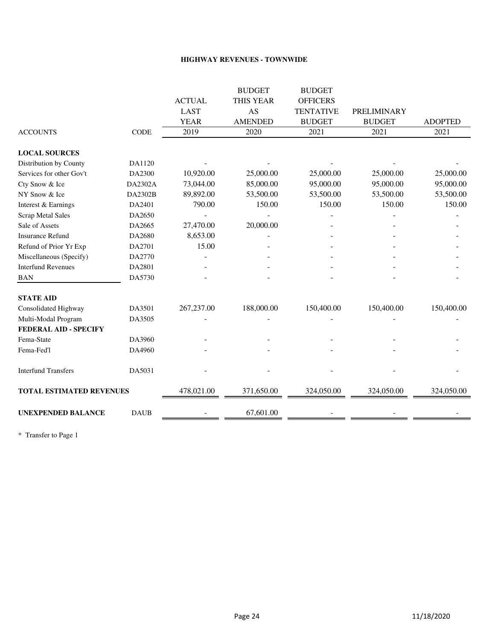#### **HIGHWAY REVENUES - TOWNWIDE**

|                                 |             |               | <b>BUDGET</b>  | <b>BUDGET</b>    |                    |                |
|---------------------------------|-------------|---------------|----------------|------------------|--------------------|----------------|
|                                 |             | <b>ACTUAL</b> | THIS YEAR      | <b>OFFICERS</b>  |                    |                |
|                                 |             | <b>LAST</b>   | AS             | <b>TENTATIVE</b> | <b>PRELIMINARY</b> |                |
|                                 |             | <b>YEAR</b>   | <b>AMENDED</b> | <b>BUDGET</b>    | <b>BUDGET</b>      | <b>ADOPTED</b> |
| <b>ACCOUNTS</b>                 | CODE        | 2019          | 2020           | 2021             | 2021               | 2021           |
| <b>LOCAL SOURCES</b>            |             |               |                |                  |                    |                |
| Distribution by County          | DA1120      |               |                |                  |                    |                |
| Services for other Gov't        | DA2300      | 10,920.00     | 25,000.00      | 25,000.00        | 25,000.00          | 25,000.00      |
| Cty Snow & Ice                  | DA2302A     | 73,044.00     | 85,000.00      | 95,000.00        | 95,000.00          | 95,000.00      |
| NY Snow & Ice                   | DA2302B     | 89,892.00     | 53,500.00      | 53,500.00        | 53,500.00          | 53,500.00      |
| Interest & Earnings             | DA2401      | 790.00        | 150.00         | 150.00           | 150.00             | 150.00         |
| <b>Scrap Metal Sales</b>        | DA2650      |               |                |                  |                    |                |
| Sale of Assets                  | DA2665      | 27,470.00     | 20,000.00      |                  |                    |                |
| <b>Insurance Refund</b>         | DA2680      | 8,653.00      |                |                  |                    |                |
| Refund of Prior Yr Exp          | DA2701      | 15.00         |                |                  |                    |                |
| Miscellaneous (Specify)         | DA2770      |               |                |                  |                    |                |
| <b>Interfund Revenues</b>       | DA2801      |               |                |                  |                    |                |
| <b>BAN</b>                      | DA5730      |               |                |                  |                    |                |
| <b>STATE AID</b>                |             |               |                |                  |                    |                |
| Consolidated Highway            | DA3501      | 267,237.00    | 188,000.00     | 150,400.00       | 150,400.00         | 150,400.00     |
| Multi-Modal Program             | DA3505      |               |                |                  |                    |                |
| <b>FEDERAL AID - SPECIFY</b>    |             |               |                |                  |                    |                |
| Fema-State                      | DA3960      |               |                |                  |                    |                |
| Fema-Fed'l                      | DA4960      |               |                |                  |                    |                |
| <b>Interfund Transfers</b>      | DA5031      |               |                |                  |                    |                |
| <b>TOTAL ESTIMATED REVENUES</b> |             | 478,021.00    | 371,650.00     | 324,050.00       | 324,050.00         | 324,050.00     |
| <b>UNEXPENDED BALANCE</b>       | <b>DAUB</b> |               | 67,601.00      |                  |                    |                |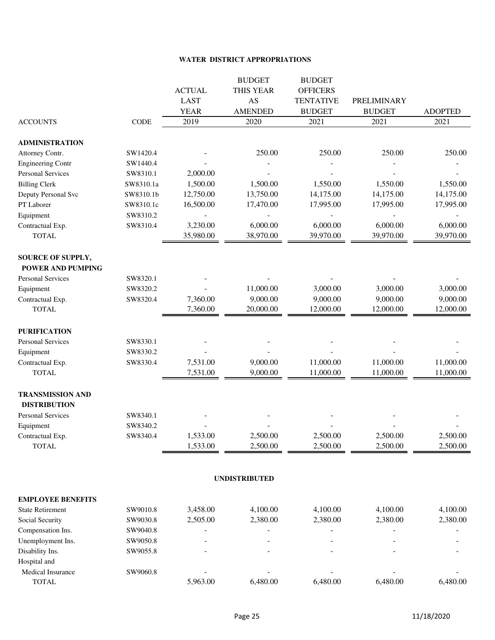#### **WATER DISTRICT APPROPRIATIONS**

|                          |             |                            | <b>BUDGET</b>        | <b>BUDGET</b>                     |                              |                |
|--------------------------|-------------|----------------------------|----------------------|-----------------------------------|------------------------------|----------------|
|                          |             | <b>ACTUAL</b>              | THIS YEAR            | <b>OFFICERS</b>                   |                              |                |
|                          |             | <b>LAST</b><br><b>YEAR</b> | AS<br><b>AMENDED</b> | <b>TENTATIVE</b><br><b>BUDGET</b> | PRELIMINARY<br><b>BUDGET</b> | <b>ADOPTED</b> |
| <b>ACCOUNTS</b>          | <b>CODE</b> | 2019                       | 2020                 | 2021                              | 2021                         | 2021           |
|                          |             |                            |                      |                                   |                              |                |
| <b>ADMINISTRATION</b>    |             |                            |                      |                                   |                              |                |
| Attorney Contr.          | SW1420.4    |                            | 250.00               | 250.00                            | 250.00                       | 250.00         |
| <b>Engineering Contr</b> | SW1440.4    |                            |                      |                                   |                              |                |
| <b>Personal Services</b> | SW8310.1    | 2,000.00                   |                      |                                   |                              |                |
| <b>Billing Clerk</b>     | SW8310.1a   | 1,500.00                   | 1,500.00             | 1,550.00                          | 1,550.00                     | 1,550.00       |
| Deputy Personal Svc      | SW8310.1b   | 12,750.00                  | 13,750.00            | 14,175.00                         | 14,175.00                    | 14,175.00      |
| PT Laborer               | SW8310.1c   | 16,500.00                  | 17,470.00            | 17,995.00                         | 17,995.00                    | 17,995.00      |
| Equipment                | SW8310.2    |                            |                      |                                   |                              |                |
| Contractual Exp.         | SW8310.4    | 3,230.00                   | 6,000.00             | 6,000.00                          | 6,000.00                     | 6,000.00       |
| <b>TOTAL</b>             |             | 35,980.00                  | 38,970.00            | 39,970.00                         | 39,970.00                    | 39,970.00      |
| <b>SOURCE OF SUPPLY,</b> |             |                            |                      |                                   |                              |                |
| <b>POWER AND PUMPING</b> |             |                            |                      |                                   |                              |                |
| <b>Personal Services</b> | SW8320.1    |                            |                      |                                   |                              |                |
| Equipment                | SW8320.2    |                            | 11,000.00            | 3,000.00                          | 3,000.00                     | 3,000.00       |
| Contractual Exp.         | SW8320.4    | 7,360.00                   | 9,000.00             | 9,000.00                          | 9,000.00                     | 9,000.00       |
| <b>TOTAL</b>             |             | 7,360.00                   | 20,000.00            | 12,000.00                         | 12,000.00                    | 12,000.00      |
| <b>PURIFICATION</b>      |             |                            |                      |                                   |                              |                |
| <b>Personal Services</b> | SW8330.1    |                            |                      |                                   |                              |                |
| Equipment                | SW8330.2    |                            |                      |                                   |                              |                |
| Contractual Exp.         | SW8330.4    | 7,531.00                   | 9,000.00             | 11,000.00                         | 11,000.00                    | 11,000.00      |
| <b>TOTAL</b>             |             | 7,531.00                   | 9,000.00             | 11,000.00                         | 11,000.00                    | 11,000.00      |
| <b>TRANSMISSION AND</b>  |             |                            |                      |                                   |                              |                |
| <b>DISTRIBUTION</b>      |             |                            |                      |                                   |                              |                |
| <b>Personal Services</b> | SW8340.1    |                            |                      |                                   |                              |                |
| Equipment                | SW8340.2    |                            |                      |                                   |                              |                |
| Contractual Exp.         | SW8340.4    | 1,533.00                   | 2,500.00             | 2,500.00                          | 2,500.00                     | 2,500.00       |
| <b>TOTAL</b>             |             | 1,533.00                   | 2,500.00             | 2,500.00                          | 2,500.00                     | 2,500.00       |
|                          |             |                            | <b>UNDISTRIBUTED</b> |                                   |                              |                |
| <b>EMPLOYEE BENEFITS</b> |             |                            |                      |                                   |                              |                |
| <b>State Retirement</b>  | SW9010.8    | 3,458.00                   | 4,100.00             | 4,100.00                          | 4,100.00                     | 4,100.00       |
| Social Security          | SW9030.8    | 2,505.00                   | 2,380.00             | 2,380.00                          | 2,380.00                     | 2,380.00       |
| Compensation Ins.        | SW9040.8    |                            |                      |                                   |                              |                |
| Unemployment Ins.        | SW9050.8    |                            |                      |                                   |                              |                |
| Disability Ins.          | SW9055.8    |                            |                      |                                   |                              |                |
| Hospital and             |             |                            |                      |                                   |                              |                |
| Medical Insurance        | SW9060.8    |                            |                      |                                   |                              |                |
| <b>TOTAL</b>             |             | 5,963.00                   | 6,480.00             | 6,480.00                          | 6,480.00                     | 6,480.00       |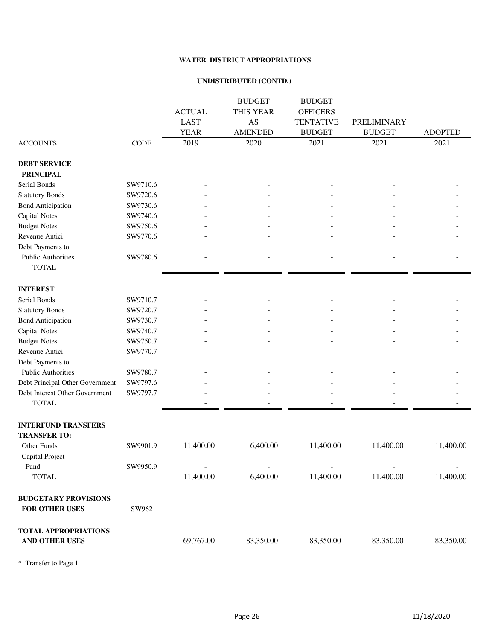#### **WATER DISTRICT APPROPRIATIONS**

#### **UNDISTRIBUTED (CONTD.)**

|                                 |          | <b>ACTUAL</b>  | <b>BUDGET</b><br><b>THIS YEAR</b> | <b>BUDGET</b><br><b>OFFICERS</b> |               |                |
|---------------------------------|----------|----------------|-----------------------------------|----------------------------------|---------------|----------------|
|                                 |          | <b>LAST</b>    | AS                                | <b>TENTATIVE</b>                 | PRELIMINARY   |                |
|                                 |          | <b>YEAR</b>    | <b>AMENDED</b>                    | <b>BUDGET</b>                    | <b>BUDGET</b> | <b>ADOPTED</b> |
| <b>ACCOUNTS</b>                 | CODE     | 2019           | 2020                              | 2021                             | 2021          | 2021           |
| <b>DEBT SERVICE</b>             |          |                |                                   |                                  |               |                |
| <b>PRINCIPAL</b>                |          |                |                                   |                                  |               |                |
| Serial Bonds                    | SW9710.6 |                |                                   |                                  |               |                |
| <b>Statutory Bonds</b>          | SW9720.6 |                |                                   |                                  |               |                |
| <b>Bond Anticipation</b>        | SW9730.6 |                |                                   |                                  |               |                |
| <b>Capital Notes</b>            | SW9740.6 |                |                                   |                                  |               |                |
| <b>Budget Notes</b>             | SW9750.6 |                |                                   |                                  |               |                |
| Revenue Antici.                 | SW9770.6 |                |                                   |                                  |               |                |
| Debt Payments to                |          |                |                                   |                                  |               |                |
| <b>Public Authorities</b>       | SW9780.6 |                |                                   |                                  |               |                |
| <b>TOTAL</b>                    |          |                |                                   |                                  |               |                |
| <b>INTEREST</b>                 |          |                |                                   |                                  |               |                |
| Serial Bonds                    | SW9710.7 |                |                                   |                                  |               |                |
| <b>Statutory Bonds</b>          | SW9720.7 |                |                                   |                                  |               |                |
| <b>Bond Anticipation</b>        | SW9730.7 |                |                                   |                                  |               |                |
| <b>Capital Notes</b>            | SW9740.7 |                |                                   |                                  |               |                |
| <b>Budget Notes</b>             | SW9750.7 |                |                                   |                                  |               |                |
| Revenue Antici.                 | SW9770.7 |                |                                   |                                  |               |                |
| Debt Payments to                |          |                |                                   |                                  |               |                |
| Public Authorities              | SW9780.7 |                |                                   |                                  |               |                |
| Debt Principal Other Government | SW9797.6 |                |                                   |                                  |               |                |
| Debt Interest Other Government  | SW9797.7 |                |                                   |                                  |               |                |
| <b>TOTAL</b>                    |          |                |                                   |                                  |               |                |
| <b>INTERFUND TRANSFERS</b>      |          |                |                                   |                                  |               |                |
| <b>TRANSFER TO:</b>             |          |                |                                   |                                  |               |                |
| Other Funds                     | SW9901.9 | 11,400.00      | 6,400.00                          | 11,400.00                        | 11,400.00     | 11,400.00      |
| Capital Project                 |          |                |                                   |                                  |               |                |
| Fund                            | SW9950.9 | $\blacksquare$ |                                   |                                  |               |                |
| <b>TOTAL</b>                    |          | 11,400.00      | 6,400.00                          | 11,400.00                        | 11,400.00     | 11,400.00      |
| <b>BUDGETARY PROVISIONS</b>     |          |                |                                   |                                  |               |                |
| FOR OTHER USES                  | SW962    |                |                                   |                                  |               |                |
| <b>TOTAL APPROPRIATIONS</b>     |          |                |                                   |                                  |               |                |
| AND OTHER USES                  |          | 69,767.00      | 83,350.00                         | 83,350.00                        | 83,350.00     | 83,350.00      |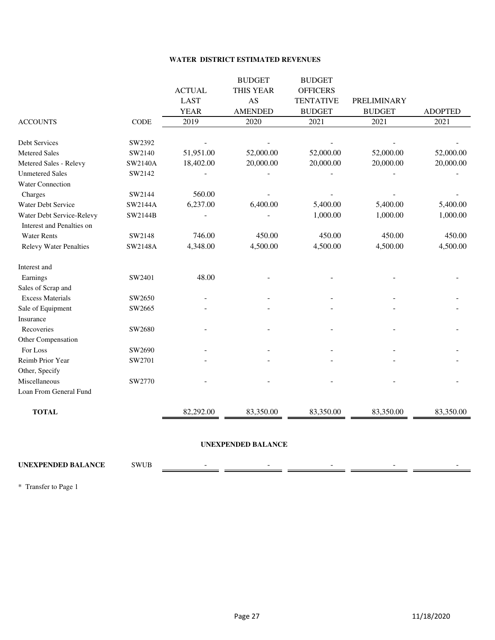#### **WATER DISTRICT ESTIMATED REVENUES**

|                |               | <b>BUDGET</b>  | <b>BUDGET</b>    |               |                |
|----------------|---------------|----------------|------------------|---------------|----------------|
|                | <b>ACTUAL</b> | THIS YEAR      | <b>OFFICERS</b>  |               |                |
|                | <b>LAST</b>   | AS             | <b>TENTATIVE</b> | PRELIMINARY   |                |
|                | <b>YEAR</b>   | <b>AMENDED</b> | <b>BUDGET</b>    | <b>BUDGET</b> | <b>ADOPTED</b> |
| <b>CODE</b>    | 2019          | 2020           | 2021             | 2021          | 2021           |
| SW2392         |               |                |                  |               |                |
| SW2140         | 51,951.00     | 52,000.00      | 52,000.00        | 52,000.00     | 52,000.00      |
| <b>SW2140A</b> | 18,402.00     | 20,000.00      | 20,000.00        | 20,000.00     | 20,000.00      |
| SW2142         |               |                |                  |               |                |
|                |               |                |                  |               |                |
| SW2144         | 560.00        |                |                  |               |                |
| SW2144A        | 6,237.00      | 6,400.00       | 5,400.00         | 5,400.00      | 5,400.00       |
| SW2144B        |               |                | 1,000.00         | 1,000.00      | 1,000.00       |
|                |               |                |                  |               |                |
| SW2148         | 746.00        | 450.00         | 450.00           | 450.00        | 450.00         |
| SW2148A        | 4,348.00      | 4,500.00       | 4,500.00         | 4,500.00      | 4,500.00       |
|                |               |                |                  |               |                |
| SW2401         | 48.00         |                |                  |               |                |
|                |               |                |                  |               |                |
| SW2650         |               |                |                  |               |                |
| SW2665         |               |                |                  |               |                |
|                |               |                |                  |               |                |
| SW2680         |               |                |                  |               |                |
|                |               |                |                  |               |                |
| SW2690         |               |                |                  |               |                |
| SW2701         |               |                |                  |               |                |
|                |               |                |                  |               |                |
| SW2770         |               |                |                  |               |                |
|                |               |                |                  |               |                |
|                | 82,292.00     | 83,350.00      | 83,350.00        | 83,350.00     | 83,350.00      |
|                |               |                |                  |               |                |

#### **UNEXPENDED BALANCE**

### **UNEXPENDED BALANCE** SWUB - - - - -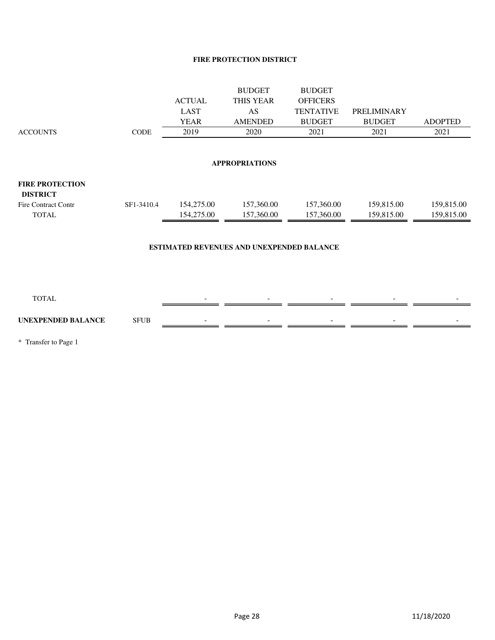#### **FIRE PROTECTION DISTRICT**

|                                           |                       |               | <b>BUDGET</b>                             | <b>BUDGET</b>    |               |                |  |  |  |  |  |
|-------------------------------------------|-----------------------|---------------|-------------------------------------------|------------------|---------------|----------------|--|--|--|--|--|
|                                           |                       | <b>ACTUAL</b> | THIS YEAR                                 | <b>OFFICERS</b>  |               |                |  |  |  |  |  |
|                                           |                       | <b>LAST</b>   | AS                                        | <b>TENTATIVE</b> | PRELIMINARY   |                |  |  |  |  |  |
|                                           |                       | <b>YEAR</b>   | <b>AMENDED</b>                            | <b>BUDGET</b>    | <b>BUDGET</b> | <b>ADOPTED</b> |  |  |  |  |  |
| <b>ACCOUNTS</b>                           | CODE                  | 2019          | 2020                                      | 2021             | 2021          | 2021           |  |  |  |  |  |
|                                           |                       |               |                                           |                  |               |                |  |  |  |  |  |
|                                           | <b>APPROPRIATIONS</b> |               |                                           |                  |               |                |  |  |  |  |  |
| <b>FIRE PROTECTION</b><br><b>DISTRICT</b> |                       |               |                                           |                  |               |                |  |  |  |  |  |
| <b>Fire Contract Contr</b>                | SF1-3410.4            | 154,275.00    | 157,360.00                                | 157,360.00       | 159,815.00    | 159,815.00     |  |  |  |  |  |
| <b>TOTAL</b>                              |                       | 154,275.00    | 157,360.00                                | 157,360.00       | 159,815.00    | 159,815.00     |  |  |  |  |  |
|                                           |                       |               |                                           |                  |               |                |  |  |  |  |  |
|                                           |                       |               | ESTIMATED REVENUES AND UNEXPENDED BALANCE |                  |               |                |  |  |  |  |  |
|                                           |                       |               |                                           |                  |               |                |  |  |  |  |  |
|                                           |                       |               |                                           |                  |               |                |  |  |  |  |  |
|                                           |                       |               |                                           |                  |               |                |  |  |  |  |  |
| <b>TOTAL</b>                              |                       |               |                                           |                  |               |                |  |  |  |  |  |
|                                           |                       |               |                                           |                  |               |                |  |  |  |  |  |
| <b>UNEXPENDED BALANCE</b>                 | <b>SFUB</b>           |               |                                           |                  |               |                |  |  |  |  |  |
|                                           |                       |               |                                           |                  |               |                |  |  |  |  |  |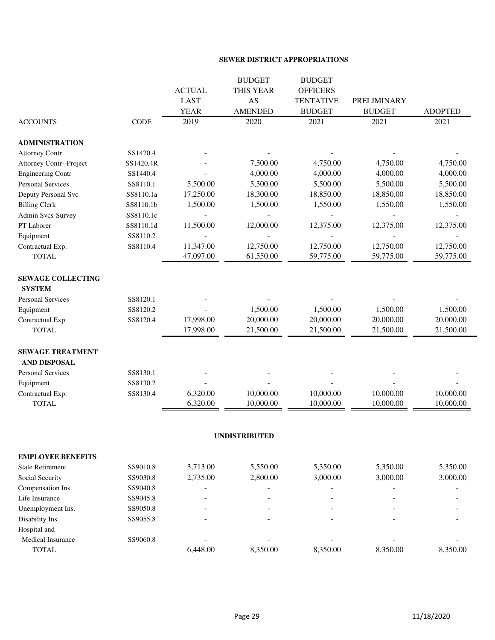#### **SEWER DISTRICT APPROPRIATIONS**

|                                |           |               | <b>BUDGET</b>        | <b>BUDGET</b>    |               |                |
|--------------------------------|-----------|---------------|----------------------|------------------|---------------|----------------|
|                                |           | <b>ACTUAL</b> | THIS YEAR            | <b>OFFICERS</b>  |               |                |
|                                |           | <b>LAST</b>   | AS                   | <b>TENTATIVE</b> | PRELIMINARY   |                |
|                                |           | <b>YEAR</b>   | <b>AMENDED</b>       | <b>BUDGET</b>    | <b>BUDGET</b> | <b>ADOPTED</b> |
| <b>ACCOUNTS</b>                | CODE      | 2019          | 2020                 | 2021             | 2021          | 2021           |
| <b>ADMINISTRATION</b>          |           |               |                      |                  |               |                |
| <b>Attorney Contr</b>          | SS1420.4  |               |                      |                  |               |                |
| <b>Attorney Contr--Project</b> | SS1420.4R |               | 7,500.00             | 4,750.00         | 4,750.00      | 4,750.00       |
| <b>Engineering Contr</b>       | SS1440.4  |               | 4,000.00             | 4,000.00         | 4,000.00      | 4,000.00       |
| Personal Services              | SS8110.1  | 5,500.00      | 5,500.00             | 5,500.00         | 5,500.00      | 5,500.00       |
| Deputy Personal Svc            | SS8110.1a | 17,250.00     | 18,300.00            | 18,850.00        | 18,850.00     | 18,850.00      |
| <b>Billing Clerk</b>           | SS8110.1b | 1,500.00      | 1,500.00             | 1,550.00         | 1,550.00      | 1,550.00       |
| Admin Svcs-Survey              | SS8110.1c |               |                      |                  |               |                |
| PT Laborer                     | SS8110.1d | 11,500.00     | 12,000.00            | 12,375.00        | 12,375.00     | 12,375.00      |
| Equipment                      | SS8110.2  |               |                      |                  |               |                |
| Contractual Exp.               | SS8110.4  | 11,347.00     | 12,750.00            | 12,750.00        | 12,750.00     | 12,750.00      |
| <b>TOTAL</b>                   |           | 47,097.00     | 61,550.00            | 59,775.00        | 59,775.00     | 59,775.00      |
| <b>SEWAGE COLLECTING</b>       |           |               |                      |                  |               |                |
| <b>SYSTEM</b>                  |           |               |                      |                  |               |                |
| <b>Personal Services</b>       | SS8120.1  |               |                      |                  |               |                |
| Equipment                      | SS8120.2  |               | 1,500.00             | 1,500.00         | 1,500.00      | 1,500.00       |
| Contractual Exp.               | SS8120.4  | 17,998.00     | 20,000.00            | 20,000.00        | 20,000.00     | 20,000.00      |
| <b>TOTAL</b>                   |           | 17,998.00     | 21,500.00            | 21,500.00        | 21,500.00     | 21,500.00      |
| <b>SEWAGE TREATMENT</b>        |           |               |                      |                  |               |                |
| AND DISPOSAL                   |           |               |                      |                  |               |                |
| <b>Personal Services</b>       | SS8130.1  |               |                      |                  |               |                |
| Equipment                      | SS8130.2  |               |                      |                  |               |                |
| Contractual Exp.               | SS8130.4  | 6,320.00      | 10,000.00            | 10,000.00        | 10,000.00     | 10,000.00      |
| <b>TOTAL</b>                   |           | 6,320.00      | 10,000.00            | 10,000.00        | 10,000.00     | 10,000.00      |
|                                |           |               |                      |                  |               |                |
|                                |           |               | <b>UNDISTRIBUTED</b> |                  |               |                |
| <b>EMPLOYEE BENEFITS</b>       |           |               |                      |                  |               |                |
| <b>State Retirement</b>        | SS9010.8  | 3,713.00      | 5,550.00             | 5,350.00         | 5,350.00      | 5,350.00       |
| Social Security                | SS9030.8  | 2,735.00      | 2,800.00             | 3,000.00         | 3,000.00      | 3,000.00       |
| Compensation Ins.              | SS9040.8  |               |                      |                  |               |                |
| Life Insurance                 | SS9045.8  |               |                      |                  |               |                |
| Unemployment Ins.              | SS9050.8  |               |                      |                  |               |                |
| Disability Ins.                | SS9055.8  |               |                      |                  |               |                |
| Hospital and                   |           |               |                      |                  |               |                |
| Medical Insurance              | SS9060.8  |               |                      |                  |               |                |
| <b>TOTAL</b>                   |           | 6,448.00      | 8,350.00             | 8,350.00         | 8,350.00      | 8,350.00       |
|                                |           |               |                      |                  |               |                |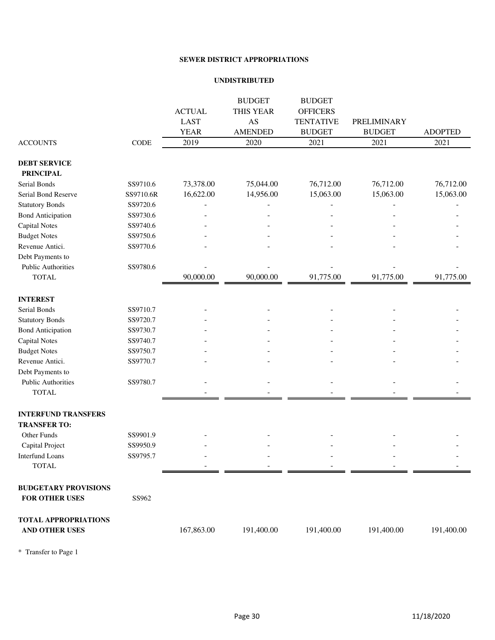#### **SEWER DISTRICT APPROPRIATIONS**

#### **UNDISTRIBUTED**

|                             |           |               | <b>BUDGET</b>  | <b>BUDGET</b>    |               |                |
|-----------------------------|-----------|---------------|----------------|------------------|---------------|----------------|
|                             |           | <b>ACTUAL</b> | THIS YEAR      | <b>OFFICERS</b>  |               |                |
|                             |           | <b>LAST</b>   | AS             | <b>TENTATIVE</b> | PRELIMINARY   |                |
|                             |           | <b>YEAR</b>   | <b>AMENDED</b> | <b>BUDGET</b>    | <b>BUDGET</b> | <b>ADOPTED</b> |
| <b>ACCOUNTS</b>             | CODE      | 2019          | 2020           | 2021             | 2021          | 2021           |
| <b>DEBT SERVICE</b>         |           |               |                |                  |               |                |
| <b>PRINCIPAL</b>            |           |               |                |                  |               |                |
| Serial Bonds                | SS9710.6  | 73,378.00     | 75,044.00      | 76,712.00        | 76,712.00     | 76,712.00      |
| Serial Bond Reserve         | SS9710.6R | 16,622.00     | 14,956.00      | 15,063.00        | 15,063.00     | 15,063.00      |
| <b>Statutory Bonds</b>      | SS9720.6  |               |                |                  |               |                |
| <b>Bond Anticipation</b>    | SS9730.6  |               |                |                  |               |                |
| <b>Capital Notes</b>        | SS9740.6  |               |                |                  |               |                |
| <b>Budget Notes</b>         | SS9750.6  |               |                |                  |               |                |
| Revenue Antici.             | SS9770.6  |               |                |                  |               |                |
| Debt Payments to            |           |               |                |                  |               |                |
| <b>Public Authorities</b>   | SS9780.6  |               |                |                  |               |                |
| <b>TOTAL</b>                |           | 90,000.00     | 90,000.00      | 91,775.00        | 91,775.00     | 91,775.00      |
| <b>INTEREST</b>             |           |               |                |                  |               |                |
| Serial Bonds                | SS9710.7  |               |                |                  |               |                |
| <b>Statutory Bonds</b>      | SS9720.7  |               |                |                  |               |                |
| <b>Bond Anticipation</b>    | SS9730.7  |               |                |                  |               |                |
| <b>Capital Notes</b>        | SS9740.7  |               |                |                  |               |                |
| <b>Budget Notes</b>         | SS9750.7  |               |                |                  |               |                |
| Revenue Antici.             | SS9770.7  |               |                |                  |               |                |
| Debt Payments to            |           |               |                |                  |               |                |
| <b>Public Authorities</b>   | SS9780.7  |               |                |                  |               |                |
| <b>TOTAL</b>                |           |               |                |                  |               |                |
| <b>INTERFUND TRANSFERS</b>  |           |               |                |                  |               |                |
| <b>TRANSFER TO:</b>         |           |               |                |                  |               |                |
| Other Funds                 | SS9901.9  |               |                |                  |               |                |
| Capital Project             | SS9950.9  |               |                |                  |               |                |
| <b>Interfund Loans</b>      | SS9795.7  |               |                |                  |               |                |
| <b>TOTAL</b>                |           |               |                |                  |               |                |
| <b>BUDGETARY PROVISIONS</b> |           |               |                |                  |               |                |
| FOR OTHER USES              | SS962     |               |                |                  |               |                |
| <b>TOTAL APPROPRIATIONS</b> |           |               |                |                  |               |                |
| AND OTHER USES              |           | 167,863.00    | 191,400.00     | 191,400.00       | 191,400.00    | 191,400.00     |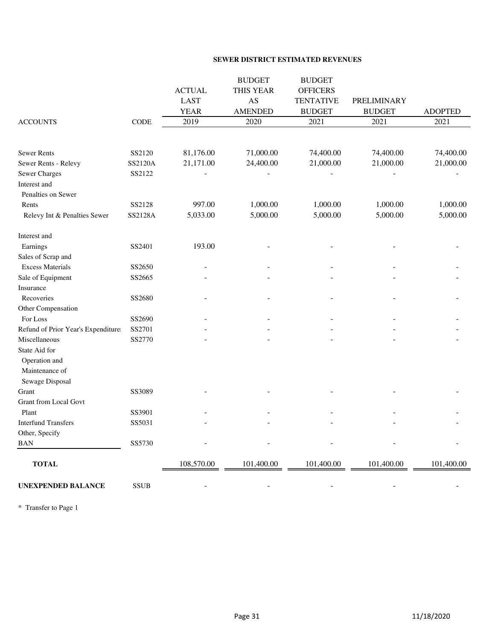#### **SEWER DISTRICT ESTIMATED REVENUES**

|                                    |                |               | <b>BUDGET</b>  | <b>BUDGET</b>    |               |                |
|------------------------------------|----------------|---------------|----------------|------------------|---------------|----------------|
|                                    |                | <b>ACTUAL</b> | THIS YEAR      | <b>OFFICERS</b>  |               |                |
|                                    |                | <b>LAST</b>   | AS             | <b>TENTATIVE</b> | PRELIMINARY   |                |
|                                    |                | <b>YEAR</b>   | <b>AMENDED</b> | <b>BUDGET</b>    | <b>BUDGET</b> | <b>ADOPTED</b> |
| <b>ACCOUNTS</b>                    | CODE           | 2019          | 2020           | 2021             | 2021          | 2021           |
|                                    |                |               |                |                  |               |                |
| Sewer Rents                        | SS2120         | 81,176.00     | 71,000.00      | 74,400.00        | 74,400.00     | 74,400.00      |
| Sewer Rents - Relevy               | SS2120A        | 21,171.00     | 24,400.00      | 21,000.00        | 21,000.00     | 21,000.00      |
| <b>Sewer Charges</b>               | SS2122         |               |                |                  |               |                |
| Interest and                       |                |               |                |                  |               |                |
| Penalties on Sewer                 |                |               |                |                  |               |                |
| Rents                              | SS2128         | 997.00        | 1,000.00       | 1,000.00         | 1,000.00      | 1,000.00       |
| Relevy Int & Penalties Sewer       | <b>SS2128A</b> | 5,033.00      | 5,000.00       | 5,000.00         | 5,000.00      | 5,000.00       |
| Interest and                       |                |               |                |                  |               |                |
| Earnings                           | SS2401         | 193.00        |                |                  |               |                |
| Sales of Scrap and                 |                |               |                |                  |               |                |
| <b>Excess Materials</b>            | SS2650         |               |                |                  |               |                |
| Sale of Equipment                  | SS2665         |               |                |                  |               |                |
| Insurance                          |                |               |                |                  |               |                |
| Recoveries                         | SS2680         |               |                |                  |               |                |
| Other Compensation                 |                |               |                |                  |               |                |
| For Loss                           | SS2690         |               |                |                  |               |                |
| Refund of Prior Year's Expenditure | SS2701         |               |                |                  |               |                |
| Miscellaneous                      | SS2770         |               |                |                  |               |                |
| State Aid for                      |                |               |                |                  |               |                |
| Operation and                      |                |               |                |                  |               |                |
| Maintenance of                     |                |               |                |                  |               |                |
| Sewage Disposal                    |                |               |                |                  |               |                |
| Grant                              | SS3089         |               |                |                  |               |                |
| <b>Grant from Local Govt</b>       |                |               |                |                  |               |                |
| Plant                              | SS3901         |               |                |                  |               |                |
| <b>Interfund Transfers</b>         | SS5031         |               |                |                  |               |                |
| Other, Specify                     |                |               |                |                  |               |                |
| <b>BAN</b>                         | SS5730         |               |                |                  |               |                |
| <b>TOTAL</b>                       |                | 108,570.00    | 101,400.00     | 101,400.00       | 101,400.00    | 101,400.00     |
| <b>UNEXPENDED BALANCE</b>          | <b>SSUB</b>    |               |                |                  |               |                |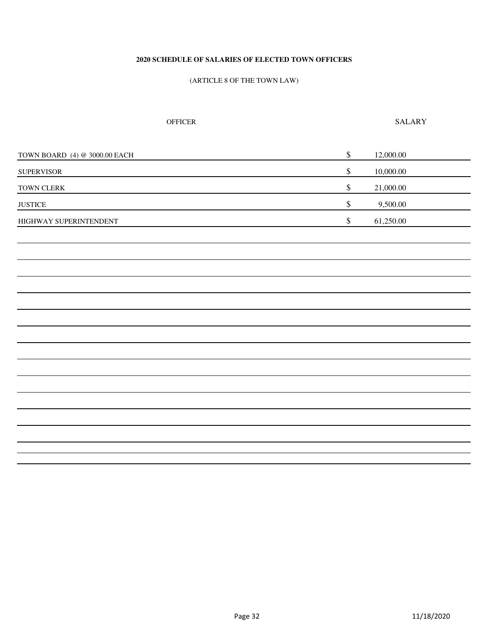#### **2020 SCHEDULE OF SALARIES OF ELECTED TOWN OFFICERS**

#### (ARTICLE 8 OF THE TOWN LAW)

OFFICER SALARY

| TOWN BOARD (4) @ 3000.00 EACH | $\mathbb{S}$ | 12,000.00 |
|-------------------------------|--------------|-----------|
| <b>SUPERVISOR</b>             | $\mathbb{S}$ | 10,000.00 |
| ${\bf TOWN}$ ${\bf CLERK}$    | $\mathbb{S}$ | 21,000.00 |
| $\operatorname{JJSTICE}$      | $\mathbb{S}$ | 9,500.00  |
| HIGHWAY SUPERINTENDENT        | $\mathbb{S}$ | 61,250.00 |
|                               |              |           |
|                               |              |           |
|                               |              |           |
|                               |              |           |
|                               |              |           |
|                               |              |           |
|                               |              |           |
|                               |              |           |
|                               |              |           |
|                               |              |           |
|                               |              |           |
|                               |              |           |
|                               |              |           |
|                               |              |           |
|                               |              |           |